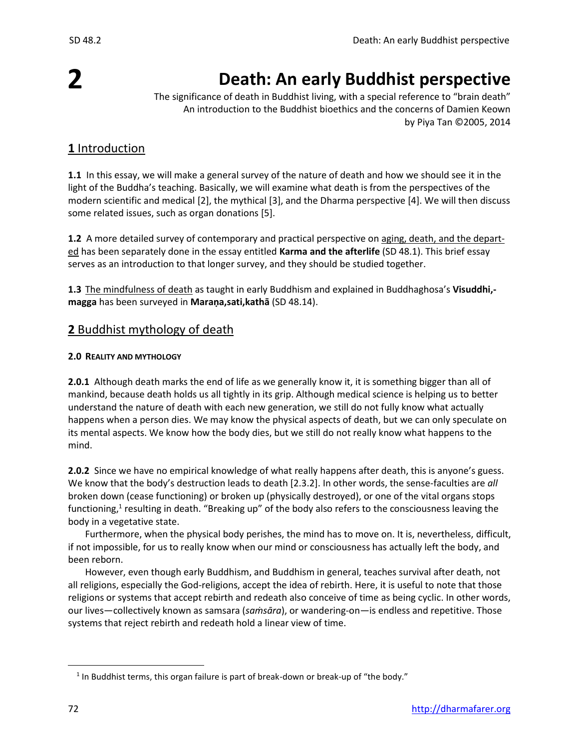# **2**

# **Death: An early Buddhist perspective**

The significance of death in Buddhist living, with a special reference to "brain death" An introduction to the Buddhist bioethics and the concerns of Damien Keown by Piya Tan ©2005, 2014

# **1** Introduction

**1.1** In this essay, we will make a general survey of the nature of death and how we should see it in the light of the Buddha's teaching. Basically, we will examine what death is from the perspectives of the modern scientific and medical [2], the mythical [3], and the Dharma perspective [4]. We will then discuss some related issues, such as organ donations [5].

**1.2** A more detailed survey of contemporary and practical perspective on aging, death, and the departed has been separately done in the essay entitled **Karma and the afterlife** (SD 48.1). This brief essay serves as an introduction to that longer survey, and they should be studied together.

**1.3** The mindfulness of death as taught in early Buddhism and explained in Buddhaghosa's **Visuddhi, magga** has been surveyed in **Maraṇa,sati,kathā** (SD 48.14).

# **2** Buddhist mythology of death

## **2.0 REALITY AND MYTHOLOGY**

**2.0.1** Although death marks the end of life as we generally know it, it is something bigger than all of mankind, because death holds us all tightly in its grip. Although medical science is helping us to better understand the nature of death with each new generation, we still do not fully know what actually happens when a person dies. We may know the physical aspects of death, but we can only speculate on its mental aspects. We know how the body dies, but we still do not really know what happens to the mind.

**2.0.2** Since we have no empirical knowledge of what really happens after death, this is anyone's guess. We know that the body's destruction leads to death [2.3.2]. In other words, the sense-faculties are *all* broken down (cease functioning) or broken up (physically destroyed), or one of the vital organs stops functioning,<sup>1</sup> resulting in death. "Breaking up" of the body also refers to the consciousness leaving the body in a vegetative state.

Furthermore, when the physical body perishes, the mind has to move on. It is, nevertheless, difficult, if not impossible, for us to really know when our mind or consciousness has actually left the body, and been reborn.

However, even though early Buddhism, and Buddhism in general, teaches survival after death, not all religions, especially the God-religions, accept the idea of rebirth. Here, it is useful to note that those religions or systems that accept rebirth and redeath also conceive of time as being cyclic. In other words, our lives—collectively known as samsara (*saṁsāra*), or wandering-on—is endless and repetitive. Those systems that reject rebirth and redeath hold a linear view of time.

 $<sup>1</sup>$  In Buddhist terms, this organ failure is part of break-down or break-up of "the body."</sup>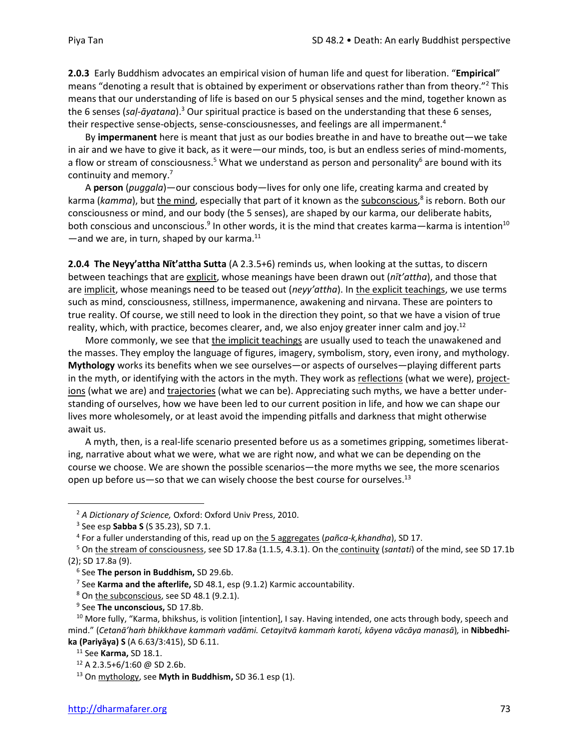**2.0.3** Early Buddhism advocates an empirical vision of human life and quest for liberation. "**Empirical**" means "denoting a result that is obtained by experiment or observations rather than from theory."<sup>2</sup> This means that our understanding of life is based on our 5 physical senses and the mind, together known as the 6 senses (*saḷ-āyatana*).<sup>3</sup> Our spiritual practice is based on the understanding that these 6 senses, their respective sense-objects, sense-consciousnesses, and feelings are all impermanent.<sup>4</sup>

By **impermanent** here is meant that just as our bodies breathe in and have to breathe out—we take in air and we have to give it back, as it were—our minds, too, is but an endless series of mind-moments, a flow or stream of consciousness.<sup>5</sup> What we understand as person and personality<sup>6</sup> are bound with its continuity and memory.<sup>7</sup>

A **person** (*puggala*)—our conscious body—lives for only one life, creating karma and created by karma (*kamma*), but <u>the mind</u>, especially that part of it known as the subconscious,<sup>8</sup> is reborn. Both our consciousness or mind, and our body (the 5 senses), are shaped by our karma, our deliberate habits, both conscious and unconscious.<sup>9</sup> In other words, it is the mind that creates karma—karma is intention<sup>10</sup>  $-$ and we are, in turn, shaped by our karma. $^{11}$ 

**2.0.4 The Neyy'attha Nīt'attha Sutta** (A 2.3.5+6) reminds us, when looking at the suttas, to discern between teachings that are explicit, whose meanings have been drawn out (*nīt'attha*), and those that are implicit, whose meanings need to be teased out (*neyy'attha*). In the explicit teachings, we use terms such as mind, consciousness, stillness, impermanence, awakening and nirvana. These are pointers to true reality. Of course, we still need to look in the direction they point, so that we have a vision of true reality, which, with practice, becomes clearer, and, we also enjoy greater inner calm and joy.<sup>12</sup>

More commonly, we see that the implicit teachings are usually used to teach the unawakened and the masses. They employ the language of figures, imagery, symbolism, story, even irony, and mythology. **Mythology** works its benefits when we see ourselves—or aspects of ourselves—playing different parts in the myth, or identifying with the actors in the myth. They work as reflections (what we were), projections (what we are) and trajectories (what we can be). Appreciating such myths, we have a better understanding of ourselves, how we have been led to our current position in life, and how we can shape our lives more wholesomely, or at least avoid the impending pitfalls and darkness that might otherwise await us.

A myth, then, is a real-life scenario presented before us as a sometimes gripping, sometimes liberating, narrative about what we were, what we are right now, and what we can be depending on the course we choose. We are shown the possible scenarios—the more myths we see, the more scenarios open up before us—so that we can wisely choose the best course for ourselves.<sup>13</sup>

<sup>2</sup> *A Dictionary of Science,* Oxford: Oxford Univ Press, 2010.

<sup>3</sup> See esp **Sabba S** (S 35.23), SD 7.1.

<sup>4</sup> For a fuller understanding of this, read up on the 5 aggregates (*pañca-k,khandha*), SD 17.

<sup>5</sup> On the stream of consciousness, see SD 17.8a (1.1.5, 4.3.1). On the continuity (*santati*) of the mind, see SD 17.1b (2); SD 17.8a (9).

<sup>6</sup> See **The person in Buddhism,** SD 29.6b.

<sup>7</sup> See **Karma and the afterlife,** SD 48.1, esp (9.1.2) Karmic accountability.

<sup>&</sup>lt;sup>8</sup> On the subconscious, see SD 48.1 (9.2.1).

<sup>9</sup> See **The unconscious,** SD 17.8b.

<sup>&</sup>lt;sup>10</sup> More fully, "Karma, bhikshus, is volition [intention], I say. Having intended, one acts through body, speech and mind." (*Cetanā'haṁ bhikkhave kammaṁ vadāmi. Cetayitvā kammaṁ karoti, kāyena vācāya manasā*)*,* in **Nibbedhika (Pariyāya) S** (A 6.63/3:415), SD 6.11.

<sup>11</sup> See **Karma,** SD 18.1.

<sup>12</sup> A 2.3.5+6/1:60 @ SD 2.6b.

<sup>13</sup> On mythology, see **Myth in Buddhism,** SD 36.1 esp (1).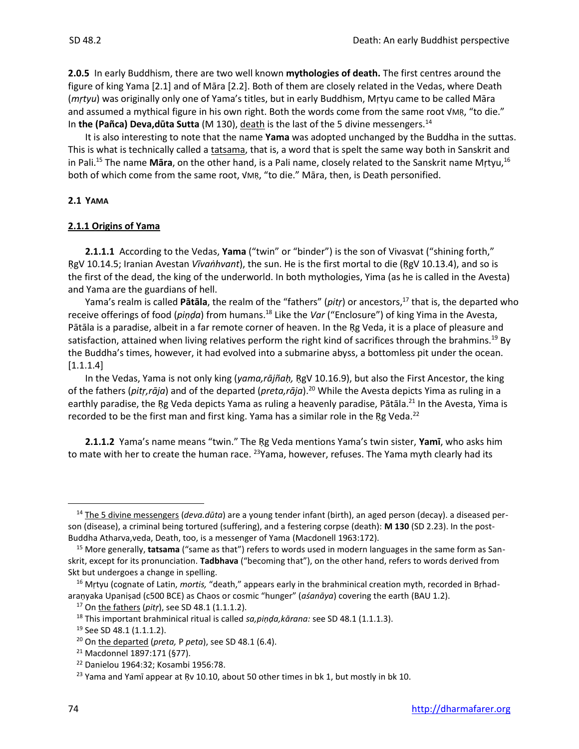**2.0.5** In early Buddhism, there are two well known **mythologies of death.** The first centres around the figure of king Yama [2.1] and of Māra [2.2]. Both of them are closely related in the Vedas, where Death (*mṛtyu*) was originally only one of Yama's titles, but in early Buddhism, Mṛtyu came to be called Māra and assumed a mythical figure in his own right. Both the words come from the same root VMR, "to die." In **the (Pañca) Deva,dūta Sutta** (M 130), death is the last of the 5 divine messengers.<sup>14</sup>

It is also interesting to note that the name **Yama** was adopted unchanged by the Buddha in the suttas. This is what is technically called a tatsama, that is, a word that is spelt the same way both in Sanskrit and in Pali.<sup>15</sup> The name **Māra**, on the other hand, is a Pali name, closely related to the Sanskrit name Mṛtyu,<sup>16</sup> both of which come from the same root, √MṚ, "to die." Māra, then, is Death personified.

## **2.1 YAMA**

## **2.1.1 Origins of Yama**

**2.1.1.1** According to the Vedas, **Yama** ("twin" or "binder") is the son of Vivasvat ("shining forth," ṚgV 10.14.5; Iranian Avestan *Vīvaṅhvant*), the sun. He is the first mortal to die (ṚgV 10.13.4), and so is the first of the dead, the king of the underworld. In both mythologies, Yima (as he is called in the Avesta) and Yama are the guardians of hell.

Yama's realm is called **Pātāla**, the realm of the "fathers" (*pitṛ*) or ancestors, <sup>17</sup> that is, the departed who receive offerings of food (*piṇḍa*) from humans. <sup>18</sup> Like the *Var* ("Enclosure") of king Yima in the Avesta, Pātāla is a paradise, albeit in a far remote corner of heaven. In the Rg Veda, it is a place of pleasure and satisfaction, attained when living relatives perform the right kind of sacrifices through the brahmins.<sup>19</sup> By the Buddha's times, however, it had evolved into a submarine abyss, a bottomless pit under the ocean. [1.1.1.4]

In the Vedas, Yama is not only king (*yama,rājñaḥ,* ṚgV 10.16.9), but also the First Ancestor, the king of the fathers (*pitṛ,rāja*) and of the departed (*preta,rāja*).<sup>20</sup> While the Avesta depicts Yima as ruling in a earthly paradise, the Ŗg Veda depicts Yama as ruling a heavenly paradise, Pātāla.<sup>21</sup> In the Avesta, Yima is recorded to be the first man and first king. Yama has a similar role in the Rg Veda. $^{22}$ 

**2.1.1.2** Yama's name means "twin." The Ṛg Veda mentions Yama's twin sister, **Yamī**, who asks him to mate with her to create the human race. <sup>23</sup> Yama, however, refuses. The Yama myth clearly had its

<sup>14</sup> The 5 divine messengers (*deva.dūta*) are a young tender infant (birth), an aged person (decay). a diseased person (disease), a criminal being tortured (suffering), and a festering corpse (death): **M 130** (SD 2.23). In the post-Buddha Atharva,veda, Death, too, is a messenger of Yama (Macdonell 1963:172).

<sup>15</sup> More generally, **tatsama** ("same as that") refers to words used in modern languages in the same form as Sanskrit, except for its pronunciation. **Tadbhava** ("becoming that"), on the other hand, refers to words derived from Skt but undergoes a change in spelling.

<sup>&</sup>lt;sup>16</sup> Mrtyu (cognate of Latin, *mortis*, "death," appears early in the brahminical creation myth, recorded in Brhadaraṇyaka Upaniṣad (c500 BCE) as Chaos or cosmic "hunger" (*aśanāya*) covering the earth (BAU 1.2).

<sup>17</sup> On the fathers (*pitṛ*), see SD 48.1 (1.1.1.2).

<sup>&</sup>lt;sup>18</sup> This important brahminical ritual is called *sa,piṇḍa,kārana:* see SD 48.1 (1.1.1.3).

<sup>&</sup>lt;sup>19</sup> See SD 48.1 (1.1.1.2).

<sup>20</sup> On the departed (*preta,* P *peta*), see SD 48.1 (6.4).

<sup>21</sup> Macdonnel 1897:171 (§77).

<sup>22</sup> Danielou 1964:32; Kosambi 1956:78.

<sup>&</sup>lt;sup>23</sup> Yama and Yamī appear at Ŗv 10.10, about 50 other times in bk 1, but mostly in bk 10.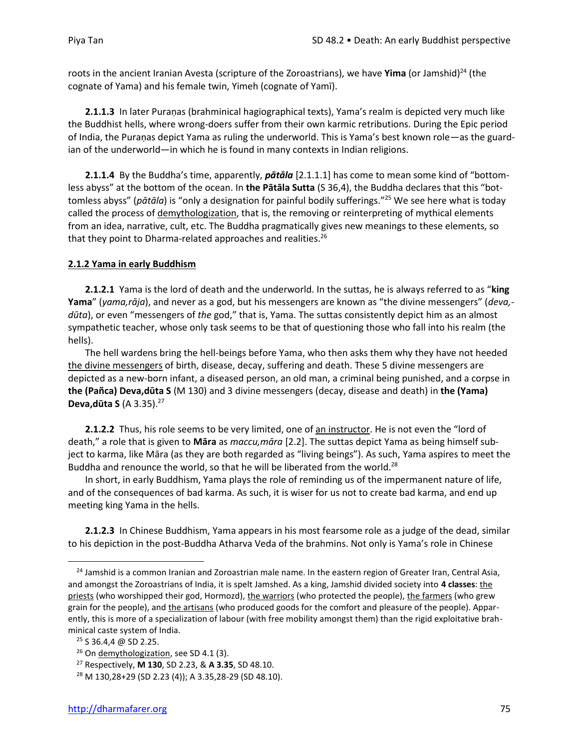roots in the ancient Iranian Avesta (scripture of the Zoroastrians), we have Yima (or Jamshid)<sup>24</sup> (the cognate of Yama) and his female twin, Yimeh (cognate of Yamī).

**2.1.1.3** In later Puraṇas (brahminical hagiographical texts), Yama's realm is depicted very much like the Buddhist hells, where wrong-doers suffer from their own karmic retributions. During the Epic period of India, the Puraṇas depict Yama as ruling the underworld. This is Yama's best known role—as the guardian of the underworld—in which he is found in many contexts in Indian religions.

**2.1.1.4** By the Buddha's time, apparently, *pātāla* [2.1.1.1] has come to mean some kind of "bottomless abyss" at the bottom of the ocean. In **the Pātāla Sutta** (S 36,4), the Buddha declares that this "bottomless abyss" (*pātāla*) is "only a designation for painful bodily sufferings." <sup>25</sup> We see here what is today called the process of demythologization, that is, the removing or reinterpreting of mythical elements from an idea, narrative, cult, etc. The Buddha pragmatically gives new meanings to these elements, so that they point to Dharma-related approaches and realities.<sup>26</sup>

## **2.1.2 Yama in early Buddhism**

**2.1.2.1** Yama is the lord of death and the underworld. In the suttas, he is always referred to as "**king Yama**" (*yama,rāja*), and never as a god, but his messengers are known as "the divine messengers" (*deva, dūta*), or even "messengers of *the* god," that is, Yama. The suttas consistently depict him as an almost sympathetic teacher, whose only task seems to be that of questioning those who fall into his realm (the hells).

The hell wardens bring the hell-beings before Yama, who then asks them why they have not heeded the divine messengers of birth, disease, decay, suffering and death. These 5 divine messengers are depicted as a new-born infant, a diseased person, an old man, a criminal being punished, and a corpse in **the (Pañca) Deva,dūta S** (M 130) and 3 divine messengers (decay, disease and death) in **the (Yama) Deva,dūta S** (A 3.35).<sup>27</sup>

**2.1.2.2** Thus, his role seems to be very limited, one of an instructor. He is not even the "lord of death," a role that is given to **Māra** as *maccu,māra* [2.2]. The suttas depict Yama as being himself subject to karma, like Māra (as they are both regarded as "living beings"). As such, Yama aspires to meet the Buddha and renounce the world, so that he will be liberated from the world.<sup>28</sup>

In short, in early Buddhism, Yama plays the role of reminding us of the impermanent nature of life, and of the consequences of bad karma. As such, it is wiser for us not to create bad karma, and end up meeting king Yama in the hells.

**2.1.2.3** In Chinese Buddhism, Yama appears in his most fearsome role as a judge of the dead, similar to his depiction in the post-Buddha Atharva Veda of the brahmins. Not only is Yama's role in Chinese

<sup>&</sup>lt;sup>24</sup> Jamshid is a common Iranian and Zoroastrian male name. In the eastern region of Greater Iran, Central Asia, and amongst the Zoroastrians of India, it is spelt Jamshed. As a king, Jamshid divided society into **4 classes**: the priests (who worshipped their god, Hormozd), the warriors (who protected the people), the farmers (who grew grain for the people), and the artisans (who produced goods for the comfort and pleasure of the people). Apparently, this is more of a specialization of labour (with free mobility amongst them) than the rigid exploitative brahminical caste system of India.

 $25$  S 36.4,4 @ SD 2.25.

 $26$  On demythologization, see SD 4.1 (3).

<sup>27</sup> Respectively, **M 130**, SD 2.23, & **A 3.35**, SD 48.10.

<sup>28</sup> M 130,28+29 (SD 2.23 (4)); A 3.35,28-29 (SD 48.10).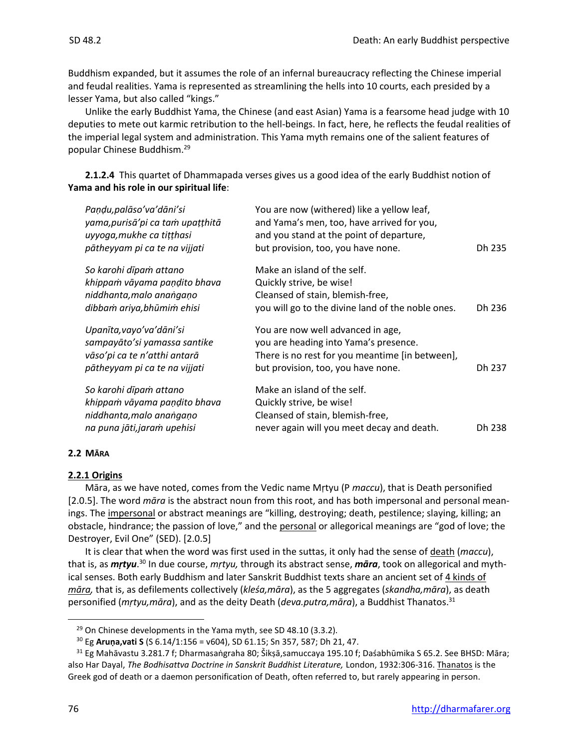Buddhism expanded, but it assumes the role of an infernal bureaucracy reflecting the Chinese imperial and feudal realities. Yama is represented as streamlining the hells into 10 courts, each presided by a lesser Yama, but also called "kings."

Unlike the early Buddhist Yama, the Chinese (and east Asian) Yama is a fearsome head judge with 10 deputies to mete out karmic retribution to the hell-beings. In fact, here, he reflects the feudal realities of the imperial legal system and administration. This Yama myth remains one of the salient features of popular Chinese Buddhism.<sup>29</sup>

**2.1.2.4** This quartet of Dhammapada verses gives us a good idea of the early Buddhist notion of **Yama and his role in our spiritual life**:

| Paņdu, palāso' va' dāni' si<br>yama, purisā' pi ca tam upațțhitā<br>uyyoga, mukhe ca tițțhasi<br>pātheyyam pi ca te na vijjati | You are now (withered) like a yellow leaf,<br>and Yama's men, too, have arrived for you,<br>and you stand at the point of departure,<br>but provision, too, you have none. | Dh 235 |
|--------------------------------------------------------------------------------------------------------------------------------|----------------------------------------------------------------------------------------------------------------------------------------------------------------------------|--------|
| So karohi dīpam attano                                                                                                         | Make an island of the self.                                                                                                                                                |        |
| khippam vāyama paņdito bhava                                                                                                   | Quickly strive, be wise!                                                                                                                                                   |        |
| niddhanta, malo anangano                                                                                                       | Cleansed of stain, blemish-free,                                                                                                                                           |        |
| dibbam ariya, bhūmim ehisi                                                                                                     | you will go to the divine land of the noble ones.                                                                                                                          | Dh 236 |
| Upanīta, vayo' va' dāni' si                                                                                                    | You are now well advanced in age,                                                                                                                                          |        |
| sampayāto'si yamassa santike                                                                                                   | you are heading into Yama's presence.                                                                                                                                      |        |
| vāso'pi ca te n'atthi antarā                                                                                                   | There is no rest for you meantime [in between],                                                                                                                            |        |
| pātheyyam pi ca te na vijjati                                                                                                  | but provision, too, you have none.                                                                                                                                         | Dh 237 |
| So karohi dīpaṁ attano                                                                                                         | Make an island of the self.                                                                                                                                                |        |
| khippam vāyama paņdito bhava                                                                                                   | Quickly strive, be wise!                                                                                                                                                   |        |
| niddhanta, malo anangano                                                                                                       | Cleansed of stain, blemish-free,                                                                                                                                           |        |
| na puna jāti, jaram upehisi                                                                                                    | never again will you meet decay and death.                                                                                                                                 | Dh 238 |

#### **2.2 MĀRA**

## **2.2.1 Origins**

Māra, as we have noted, comes from the Vedic name Mṛtyu (P *maccu*), that is Death personified [2.0.5]. The word *māra* is the abstract noun from this root, and has both impersonal and personal meanings. The impersonal or abstract meanings are "killing, destroying; death, pestilence; slaying, killing; an obstacle, hindrance; the passion of love," and the personal or allegorical meanings are "god of love; the Destroyer, Evil One" (SED). [2.0.5]

It is clear that when the word was first used in the suttas, it only had the sense of death (*maccu*), that is, as *mṛtyu.*<sup>30</sup> In due course, *mṛtyu,* through its abstract sense, **māra**, took on allegorical and mythical senses. Both early Buddhism and later Sanskrit Buddhist texts share an ancient set of 4 kinds of *māra,* that is, as defilements collectively (*kleśa,māra*), as the 5 aggregates (*skandha,māra*), as death personified (*mṛtyu,māra*), and as the deity Death (*deva.putra,māra*), a Buddhist Thanatos. 31

 $29$  On Chinese developments in the Yama myth, see SD 48.10 (3.3.2).

<sup>30</sup> Eg **Aruṇa,vati S** (S 6.14/1:156 = v604), SD 61.15; Sn 357, 587; Dh 21, 47.

<sup>&</sup>lt;sup>31</sup> Eg Mahāvastu 3.281.7 f; Dharmasaṅgraha 80; Šikṣā,samuccaya 195.10 f; Daśabhūmika S 65.2. See BHSD: Māra; also Har Dayal, *The Bodhisattva Doctrine in Sanskrit Buddhist Literature,* London, 1932:306-316. Thanatos is the Greek god of death or a daemon personification of Death, often referred to, but rarely appearing in person.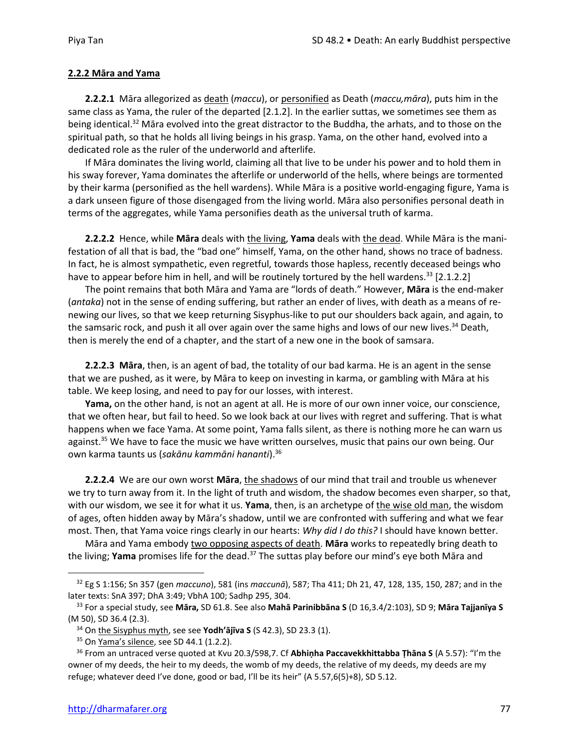## **2.2.2 Māra and Yama**

**2.2.2.1** Māra allegorized as death (*maccu*), or personified as Death (*maccu,māra*), puts him in the same class as Yama, the ruler of the departed [2.1.2]. In the earlier suttas, we sometimes see them as being identical.<sup>32</sup> Māra evolved into the great distractor to the Buddha, the arhats, and to those on the spiritual path, so that he holds all living beings in his grasp. Yama, on the other hand, evolved into a dedicated role as the ruler of the underworld and afterlife.

If Māra dominates the living world, claiming all that live to be under his power and to hold them in his sway forever, Yama dominates the afterlife or underworld of the hells, where beings are tormented by their karma (personified as the hell wardens). While Māra is a positive world-engaging figure, Yama is a dark unseen figure of those disengaged from the living world. Māra also personifies personal death in terms of the aggregates, while Yama personifies death as the universal truth of karma.

**2.2.2.2** Hence, while **Māra** deals with the living, **Yama** deals with the dead. While Māra is the manifestation of all that is bad, the "bad one" himself, Yama, on the other hand, shows no trace of badness. In fact, he is almost sympathetic, even regretful, towards those hapless, recently deceased beings who have to appear before him in hell, and will be routinely tortured by the hell wardens.<sup>33</sup> [2.1.2.2]

The point remains that both Māra and Yama are "lords of death." However, **Māra** is the end-maker (*antaka*) not in the sense of ending suffering, but rather an ender of lives, with death as a means of renewing our lives, so that we keep returning Sisyphus-like to put our shoulders back again, and again, to the samsaric rock, and push it all over again over the same highs and lows of our new lives.<sup>34</sup> Death, then is merely the end of a chapter, and the start of a new one in the book of samsara.

**2.2.2.3 Māra**, then, is an agent of bad, the totality of our bad karma. He is an agent in the sense that we are pushed, as it were, by Māra to keep on investing in karma, or gambling with Māra at his table. We keep losing, and need to pay for our losses, with interest.

**Yama,** on the other hand, is not an agent at all. He is more of our own inner voice, our conscience, that we often hear, but fail to heed. So we look back at our lives with regret and suffering. That is what happens when we face Yama. At some point, Yama falls silent, as there is nothing more he can warn us against.<sup>35</sup> We have to face the music we have written ourselves, music that pains our own being. Our own karma taunts us (*sakānu kammāni hananti*). 36

**2.2.2.4** We are our own worst **Māra**, the shadows of our mind that trail and trouble us whenever we try to turn away from it. In the light of truth and wisdom, the shadow becomes even sharper, so that, with our wisdom, we see it for what it us. **Yama**, then, is an archetype of the wise old man, the wisdom of ages, often hidden away by Māra's shadow, until we are confronted with suffering and what we fear most. Then, that Yama voice rings clearly in our hearts: *Why did I do this?* I should have known better.

Māra and Yama embody two opposing aspects of death. **Māra** works to repeatedly bring death to the living; Yama promises life for the dead.<sup>37</sup> The suttas play before our mind's eye both Māra and

<sup>32</sup> Eg S 1:156; Sn 357 (gen *maccuno*), 581 (ins *maccunā*), 587; Tha 411; Dh 21, 47, 128, 135, 150, 287; and in the later texts: SnA 397; DhA 3:49; VbhA 100; Sadhp 295, 304.

<sup>33</sup> For a special study, see **Māra,** SD 61.8. See also **Mahā Parinibbāna S** (D 16,3.4/2:103), SD 9; **Māra Tajjanīya S**  (M 50), SD 36.4 (2.3).

<sup>34</sup> On the Sisyphus myth, see see **Yodh'ājīva S** (S 42.3), SD 23.3 (1).

 $35$  On Yama's silence, see SD 44.1 (1.2.2).

<sup>36</sup> From an untraced verse quoted at Kvu 20.3/598,7. Cf **Abhiṇha Paccavekkhittabba Ṭhāna S** (A 5.57): "I'm the owner of my deeds, the heir to my deeds, the womb of my deeds, the relative of my deeds, my deeds are my refuge; whatever deed I've done, good or bad, I'll be its heir" (A 5.57,6(5)+8), SD 5.12.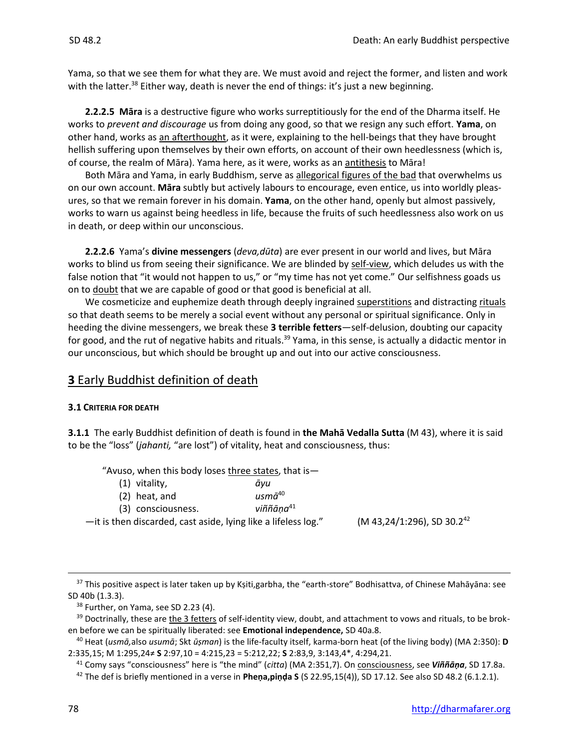Yama, so that we see them for what they are. We must avoid and reject the former, and listen and work with the latter.<sup>38</sup> Either way, death is never the end of things: it's just a new beginning.

**2.2.2.5 Māra** is a destructive figure who works surreptitiously for the end of the Dharma itself. He works to *prevent and discourage* us from doing any good, so that we resign any such effort. **Yama**, on other hand, works as an afterthought, as it were, explaining to the hell-beings that they have brought hellish suffering upon themselves by their own efforts, on account of their own heedlessness (which is, of course, the realm of Māra). Yama here, as it were, works as an antithesis to Māra!

Both Māra and Yama, in early Buddhism, serve as allegorical figures of the bad that overwhelms us on our own account. **Māra** subtly but actively labours to encourage, even entice, us into worldly pleasures, so that we remain forever in his domain. **Yama**, on the other hand, openly but almost passively, works to warn us against being heedless in life, because the fruits of such heedlessness also work on us in death, or deep within our unconscious.

**2.2.2.6** Yama's **divine messengers** (*deva,dūta*) are ever present in our world and lives, but Māra works to blind us from seeing their significance. We are blinded by self-view, which deludes us with the false notion that "it would not happen to us," or "my time has not yet come." Our selfishness goads us on to doubt that we are capable of good or that good is beneficial at all.

We cosmeticize and euphemize death through deeply ingrained superstitions and distracting rituals so that death seems to be merely a social event without any personal or spiritual significance. Only in heeding the divine messengers, we break these **3 terrible fetters**—self-delusion, doubting our capacity for good, and the rut of negative habits and rituals.<sup>39</sup> Yama, in this sense, is actually a didactic mentor in our unconscious, but which should be brought up and out into our active consciousness.

# **3** Early Buddhist definition of death

#### **3.1 CRITERIA FOR DEATH**

**3.1.1** The early Buddhist definition of death is found in **the Mahā Vedalla Sutta** (M 43), where it is said to be the "loss" (*jahanti,* "are lost") of vitality, heat and consciousness, thus:

"Avuso, when this body loses three states, that is—

| $(1)$ vitality,                                                | avu                   |                                        |
|----------------------------------------------------------------|-----------------------|----------------------------------------|
| $(2)$ heat, and                                                | usm $\bar{a}^{40}$    |                                        |
| (3) consciousness.                                             | viññāna <sup>41</sup> |                                        |
| -it is then discarded, cast aside, lying like a lifeless log." |                       | (M 43,24/1:296), SD 30.2 <sup>42</sup> |

<sup>37</sup> This positive aspect is later taken up by Kṣiti,garbha, the "earth-store" Bodhisattva, of Chinese Mahāyāna: see SD 40b (1.3.3).

<sup>&</sup>lt;sup>38</sup> Further, on Yama, see SD 2.23 (4).

 $39$  Doctrinally, these are the 3 fetters of self-identity view, doubt, and attachment to vows and rituals, to be broken before we can be spiritually liberated: see **Emotional independence,** SD 40a.8.

<sup>40</sup> Heat (*usmā,*also *usumā*; Skt *ūṣman*) is the life-faculty itself, karma-born heat (of the living body) (MA 2:350): **D** 2:335,15; M 1:295,24≠ **S** 2:97,10 = 4:215,23 = 5:212,22; **S** 2:83,9, 3:143,4\*, 4:294,21.

<sup>41</sup> Comy says "consciousness" here is "the mind" (*citta*) (MA 2:351,7). On consciousness, see *Viññāṇa*, SD 17.8a.

<sup>42</sup> The def is briefly mentioned in a verse in **Pheṇa,piṇḍa S** (S 22.95,15(4)), SD 17.12. See also SD 48.2 (6.1.2.1).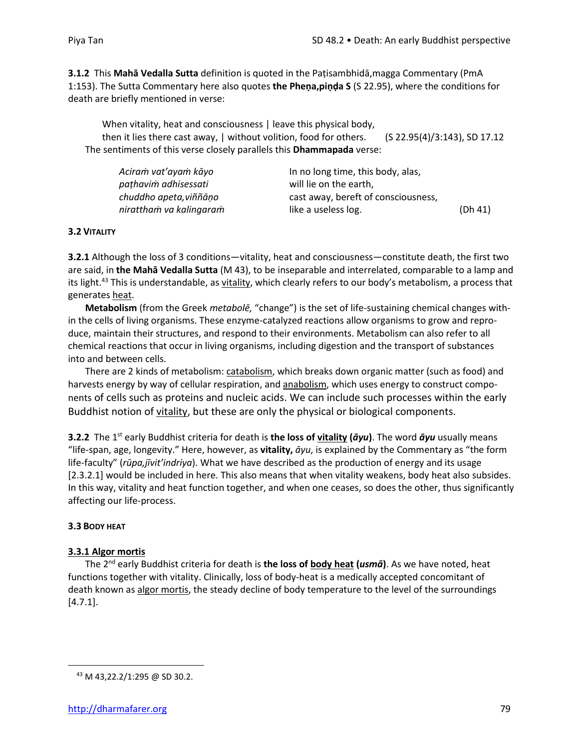**3.1.2** This **Mahā Vedalla Sutta** definition is quoted in the Paṭisambhidā,magga Commentary (PmA 1:153). The Sutta Commentary here also quotes **the Pheṇa,piṇḍa S** (S 22.95), where the conditions for death are briefly mentioned in verse:

When vitality, heat and consciousness | leave this physical body, then it lies there cast away, | without volition, food for others. (S 22.95(4)/3:143), SD 17.12 The sentiments of this verse closely parallels this **Dhammapada** verse:

| Aciram vat'ayam kāyo    | In no long time, this body, alas,   |         |
|-------------------------|-------------------------------------|---------|
| pathavim adhisessati    | will lie on the earth.              |         |
| chuddho apeta, viññāno  | cast away, bereft of consciousness, |         |
| nirattham va kalingaram | like a useless log.                 | (Dh 41) |

## **3.2 VITALITY**

**3.2.1** Although the loss of 3 conditions—vitality, heat and consciousness—constitute death, the first two are said, in **the Mahā Vedalla Sutta** (M 43), to be inseparable and interrelated, comparable to a lamp and its light.<sup>43</sup> This is understandable, as vitality, which clearly refers to our body's metabolism, a process that generates heat.

**Metabolism** (from the Greek *metabolē,* "change") is the set of life-sustaining chemical changes within the cells of living organisms. These enzyme-catalyzed reactions allow organisms to grow and reproduce, maintain their structures, and respond to their environments. Metabolism can also refer to all chemical reactions that occur in living organisms, including digestion and the transport of substances into and between cells.

There are 2 kinds of metabolism: catabolism, which breaks down organic matter (such as food) and harvests energy by way of cellular respiration, and anabolism, which uses energy to construct components of cells such as proteins and nucleic acids. We can include such processes within the early Buddhist notion of vitality, but these are only the physical or biological components.

**3.2.2** The 1 st early Buddhist criteria for death is **the loss of vitality (***āyu***)**. The word *āyu* usually means "life-span, age, longevity." Here, however, as **vitality,** *āyu*, is explained by the Commentary as "the form life-faculty" (*rūpa,jīvit'indriya*). What we have described as the production of energy and its usage [2.3.2.1] would be included in here. This also means that when vitality weakens, body heat also subsides. In this way, vitality and heat function together, and when one ceases, so does the other, thus significantly affecting our life-process.

## **3.3 BODY HEAT**

## **3.3.1 Algor mortis**

The 2 nd early Buddhist criteria for death is **the loss of body heat (***usmā***)**. As we have noted, heat functions together with vitality. Clinically, loss of body-heat is a medically accepted concomitant of death known as algor mortis, the steady decline of body temperature to the level of the surroundings [4.7.1].

<sup>43</sup> M 43,22.2/1:295 @ SD 30.2.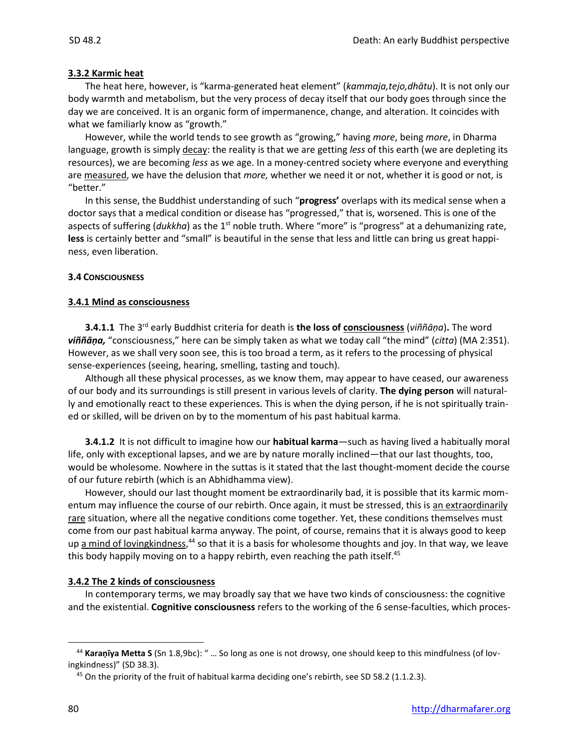## **3.3.2 Karmic heat**

The heat here, however, is "karma-generated heat element" (*kammaja,tejo,dhātu*). It is not only our body warmth and metabolism, but the very process of decay itself that our body goes through since the day we are conceived. It is an organic form of impermanence, change, and alteration. It coincides with what we familiarly know as "growth."

However, while the world tends to see growth as "growing," having *more*, being *more*, in Dharma language, growth is simply decay: the reality is that we are getting *less* of this earth (we are depleting its resources), we are becoming *less* as we age. In a money-centred society where everyone and everything are measured, we have the delusion that *more,* whether we need it or not, whether it is good or not, is "better."

In this sense, the Buddhist understanding of such "**progress'** overlaps with its medical sense when a doctor says that a medical condition or disease has "progressed," that is, worsened. This is one of the aspects of suffering (*dukkha*) as the 1<sup>st</sup> noble truth. Where "more" is "progress" at a dehumanizing rate, **less** is certainly better and "small" is beautiful in the sense that less and little can bring us great happiness, even liberation.

## **3.4 CONSCIOUSNESS**

## **3.4.1 Mind as consciousness**

**3.4.1.1** The 3<sup>rd</sup> early Buddhist criteria for death is the loss of consciousness (*viññāṇa*). The word *viññāṇa,* "consciousness," here can be simply taken as what we today call "the mind" (*citta*) (MA 2:351). However, as we shall very soon see, this is too broad a term, as it refers to the processing of physical sense-experiences (seeing, hearing, smelling, tasting and touch).

Although all these physical processes, as we know them, may appear to have ceased, our awareness of our body and its surroundings is still present in various levels of clarity. **The dying person** will naturally and emotionally react to these experiences. This is when the dying person, if he is not spiritually trained or skilled, will be driven on by to the momentum of his past habitual karma.

**3.4.1.2** It is not difficult to imagine how our **habitual karma**—such as having lived a habitually moral life, only with exceptional lapses, and we are by nature morally inclined—that our last thoughts, too, would be wholesome. Nowhere in the suttas is it stated that the last thought-moment decide the course of our future rebirth (which is an Abhidhamma view).

However, should our last thought moment be extraordinarily bad, it is possible that its karmic momentum may influence the course of our rebirth. Once again, it must be stressed, this is an extraordinarily rare situation, where all the negative conditions come together. Yet, these conditions themselves must come from our past habitual karma anyway. The point, of course, remains that it is always good to keep up <u>a mind of lovingkindness</u>,<sup>44</sup> so that it is a basis for wholesome thoughts and joy. In that way, we leave this body happily moving on to a happy rebirth, even reaching the path itself.<sup>45</sup>

## **3.4.2 The 2 kinds of consciousness**

In contemporary terms, we may broadly say that we have two kinds of consciousness: the cognitive and the existential. **Cognitive consciousness** refers to the working of the 6 sense-faculties, which proces-

<sup>44</sup> **Karaṇīya Metta S** (Sn 1.8,9bc): " … So long as one is not drowsy, one should keep to this mindfulness (of lovingkindness)" (SD 38.3).

<sup>&</sup>lt;sup>45</sup> On the priority of the fruit of habitual karma deciding one's rebirth, see SD 58.2 (1.1.2.3).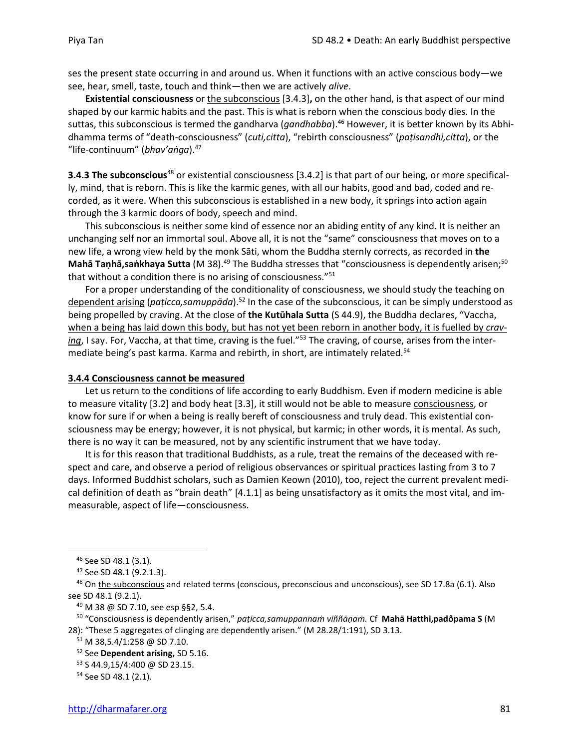ses the present state occurring in and around us. When it functions with an active conscious body—we see, hear, smell, taste, touch and think—then we are actively *alive*.

**Existential consciousness** or the subconscious [3.4.3]**,** on the other hand, is that aspect of our mind shaped by our karmic habits and the past. This is what is reborn when the conscious body dies. In the suttas, this subconscious is termed the gandharva (*gandhabba*).<sup>46</sup> However, it is better known by its Abhidhamma terms of "death-consciousness" (*cuti,citta*), "rebirth consciousness" (*paṭisandhi,citta*), or the "life-continuum" (*bhav'aṅga*).<sup>47</sup>

**3.4.3 The subconscious**<sup>48</sup> or existential consciousness [3.4.2] is that part of our being, or more specifically, mind, that is reborn. This is like the karmic genes, with all our habits, good and bad, coded and recorded, as it were. When this subconscious is established in a new body, it springs into action again through the 3 karmic doors of body, speech and mind.

This subconscious is neither some kind of essence nor an abiding entity of any kind. It is neither an unchanging self nor an immortal soul. Above all, it is not the "same" consciousness that moves on to a new life, a wrong view held by the monk Sāti, whom the Buddha sternly corrects, as recorded in **the Mahā Taṇhā,saṅkhaya Sutta** (M 38).<sup>49</sup> The Buddha stresses that "consciousness is dependently arisen;<sup>50</sup> that without a condition there is no arising of consciousness."<sup>51</sup>

For a proper understanding of the conditionality of consciousness, we should study the teaching on dependent arising (*paticca,samuppāda*).<sup>52</sup> In the case of the subconscious, it can be simply understood as being propelled by craving. At the close of **the Kutūhala Sutta** (S 44.9), the Buddha declares, "Vaccha, when a being has laid down this body, but has not yet been reborn in another body, it is fuelled by *craving*, I say. For, Vaccha, at that time, craving is the fuel."<sup>53</sup> The craving, of course, arises from the intermediate being's past karma. Karma and rebirth, in short, are intimately related.<sup>54</sup>

#### **3.4.4 Consciousness cannot be measured**

Let us return to the conditions of life according to early Buddhism. Even if modern medicine is able to measure vitality [3.2] and body heat [3.3], it still would not be able to measure consciousness, or know for sure if or when a being is really bereft of consciousness and truly dead. This existential consciousness may be energy; however, it is not physical, but karmic; in other words, it is mental. As such, there is no way it can be measured, not by any scientific instrument that we have today.

It is for this reason that traditional Buddhists, as a rule, treat the remains of the deceased with respect and care, and observe a period of religious observances or spiritual practices lasting from 3 to 7 days. Informed Buddhist scholars, such as Damien Keown (2010), too, reject the current prevalent medical definition of death as "brain death" [4.1.1] as being unsatisfactory as it omits the most vital, and immeasurable, aspect of life—consciousness.

<sup>46</sup> See SD 48.1 (3.1).

<sup>47</sup> See SD 48.1 (9.2.1.3).

<sup>48</sup> On the subconscious and related terms (conscious, preconscious and unconscious), see SD 17.8a (6.1). Also see SD 48.1 (9.2.1).

<sup>49</sup> M 38 @ SD 7.10, see esp §§2, 5.4.

<sup>50</sup> "Consciousness is dependently arisen," *paṭicca,samuppannaṁ viññāṇaṁ.* Cf **Mahā Hatthi,padôpama S** (M 28): "These 5 aggregates of clinging are dependently arisen." (M 28.28/1:191), SD 3.13.

 $51$  M 38,5.4/1:258 @ SD 7.10.

<sup>52</sup> See **Dependent arising,** SD 5.16.

<sup>53</sup> S 44.9,15/4:400 @ SD 23.15.

<sup>54</sup> See SD 48.1 (2.1).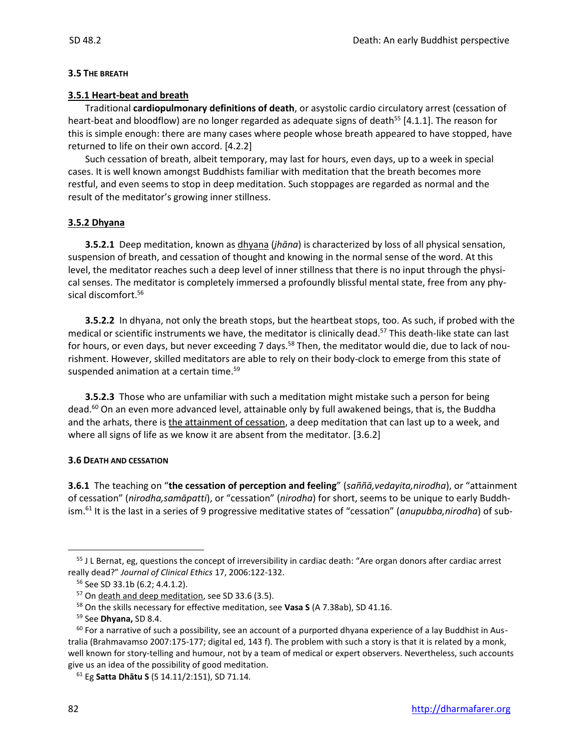#### **3.5 THE BREATH**

#### **3.5.1 Heart-beat and breath**

Traditional **cardiopulmonary definitions of death**, or asystolic cardio circulatory arrest (cessation of heart-beat and bloodflow) are no longer regarded as adequate signs of death<sup>55</sup> [4.1.1]. The reason for this is simple enough: there are many cases where people whose breath appeared to have stopped, have returned to life on their own accord. [4.2.2]

Such cessation of breath, albeit temporary, may last for hours, even days, up to a week in special cases. It is well known amongst Buddhists familiar with meditation that the breath becomes more restful, and even seems to stop in deep meditation. Such stoppages are regarded as normal and the result of the meditator's growing inner stillness.

#### **3.5.2 Dhyana**

**3.5.2.1** Deep meditation, known as dhyana (*jhāna*) is characterized by loss of all physical sensation, suspension of breath, and cessation of thought and knowing in the normal sense of the word. At this level, the meditator reaches such a deep level of inner stillness that there is no input through the physical senses. The meditator is completely immersed a profoundly blissful mental state, free from any physical discomfort.<sup>56</sup>

**3.5.2.2** In dhyana, not only the breath stops, but the heartbeat stops, too. As such, if probed with the medical or scientific instruments we have, the meditator is clinically dead.<sup>57</sup> This death-like state can last for hours, or even days, but never exceeding 7 days.<sup>58</sup> Then, the meditator would die, due to lack of nourishment. However, skilled meditators are able to rely on their body-clock to emerge from this state of suspended animation at a certain time.<sup>59</sup>

**3.5.2.3** Those who are unfamiliar with such a meditation might mistake such a person for being dead.<sup>60</sup> On an even more advanced level, attainable only by full awakened beings, that is, the Buddha and the arhats, there is the attainment of cessation, a deep meditation that can last up to a week, and where all signs of life as we know it are absent from the meditator. [3.6.2]

#### **3.6 DEATH AND CESSATION**

**3.6.1** The teaching on "**the cessation of perception and feeling**" (*saññā,vedayita,nirodha*), or "attainment of cessation" (*nirodha,samāpatti*), or "cessation" (*nirodha*) for short, seems to be unique to early Buddhism.<sup>61</sup> It is the last in a series of 9 progressive meditative states of "cessation" (*anupubba,nirodha*) of sub-

<sup>&</sup>lt;sup>55</sup> J L Bernat, eg, questions the concept of irreversibility in cardiac death: "Are organ donors after cardiac arrest really dead?" *Journal of Clinical Ethics* 17, 2006:122-132.

<sup>56</sup> See SD 33.1b (6.2; 4.4.1.2).

<sup>&</sup>lt;sup>57</sup> On death and deep meditation, see SD 33.6 (3.5).

<sup>58</sup> On the skills necessary for effective meditation, see **Vasa S** (A 7.38ab), SD 41.16.

<sup>59</sup> See **Dhyana,** SD 8.4.

 $60$  For a narrative of such a possibility, see an account of a purported dhyana experience of a lay Buddhist in Australia (Brahmavamso 2007:175-177; digital ed, 143 f). The problem with such a story is that it is related by a monk, well known for story-telling and humour, not by a team of medical or expert observers. Nevertheless, such accounts give us an idea of the possibility of good meditation.

<sup>61</sup> Eg **Satta Dhātu S** (S 14.11/2:151), SD 71.14*.*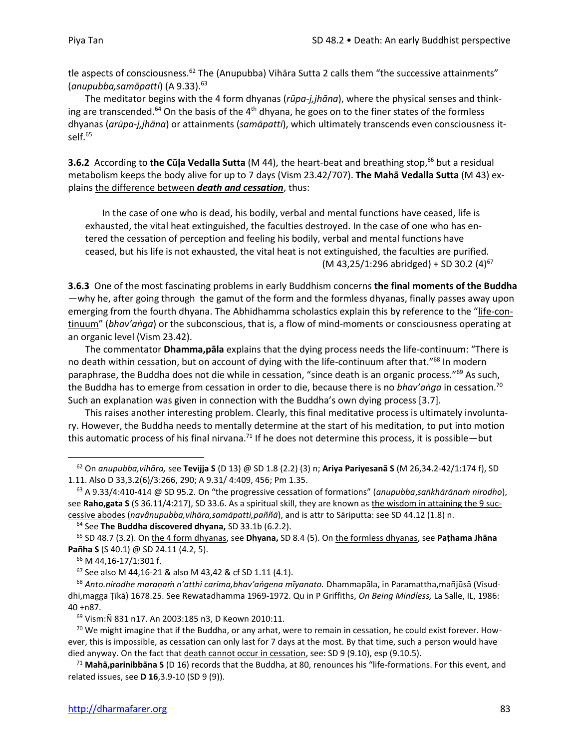tle aspects of consciousness.<sup>62</sup> The (Anupubba) Vihāra Sutta 2 calls them "the successive attainments" (*anupubba,samāpatti*) (A 9.33).<sup>63</sup>

The meditator begins with the 4 form dhyanas (*rūpa-j,jhāna*), where the physical senses and thinking are transcended.<sup>64</sup> On the basis of the 4<sup>th</sup> dhyana, he goes on to the finer states of the formless dhyanas (*arūpa-j,jhāna*) or attainments (*samāpatti*), which ultimately transcends even consciousness itself.<sup>65</sup>

**3.6.2** According to the Cūla Vedalla Sutta (M 44), the heart-beat and breathing stop,<sup>66</sup> but a residual metabolism keeps the body alive for up to 7 days (Vism 23.42/707). **The Mahā Vedalla Sutta** (M 43) explains the difference between *death and cessation*, thus:

In the case of one who is dead, his bodily, verbal and mental functions have ceased, life is exhausted, the vital heat extinguished, the faculties destroyed. In the case of one who has entered the cessation of perception and feeling his bodily, verbal and mental functions have ceased, but his life is not exhausted, the vital heat is not extinguished, the faculties are purified. (M 43,25/1:296 abridged) + SD 30.2  $(4)^{67}$ 

**3.6.3** One of the most fascinating problems in early Buddhism concerns **the final moments of the Buddha** —why he, after going through the gamut of the form and the formless dhyanas, finally passes away upon emerging from the fourth dhyana. The Abhidhamma scholastics explain this by reference to the "life-continuum" (*bhav'aṅga*) or the subconscious, that is, a flow of mind-moments or consciousness operating at an organic level (Vism 23.42).

The commentator **Dhamma,pāla** explains that the dying process needs the life-continuum: "There is no death within cessation, but on account of dying with the life-continuum after that."<sup>68</sup> In modern paraphrase, the Buddha does not die while in cessation, "since death is an organic process."<sup>69</sup> As such, the Buddha has to emerge from cessation in order to die, because there is no *bhav'aṅga* in cessation.<sup>70</sup> Such an explanation was given in connection with the Buddha's own dying process [3.7].

This raises another interesting problem. Clearly, this final meditative process is ultimately involuntary. However, the Buddha needs to mentally determine at the start of his meditation, to put into motion this automatic process of his final nirvana.<sup>71</sup> If he does not determine this process, it is possible—but

<sup>62</sup> On *anupubba,vihāra,* see **Tevijja S** (D 13) @ SD 1.8 (2.2) (3) n; **Ariya Pariyesanā S** (M 26,34.2-42/1:174 f), SD 1.11. Also D 33,3.2(6)/3:266, 290; A 9.31/ 4:409, 456; Pm 1.35.

<sup>63</sup> A 9.33/4:410-414 @ SD 95.2. On "the progressive cessation of formations" (*anupubba*,*saṅkhārānaṁ nirodho*), see Raho,gata S (S 36.11/4:217), SD 33.6. As a spiritual skill, they are known as the wisdom in attaining the 9 successive abodes (*navânupubba,vihāra,samāpatti,paññā*), and is attr to Sāriputta: see SD 44.12 (1.8) n.

<sup>64</sup> See **The Buddha discovered dhyana,** SD 33.1b (6.2.2).

<sup>65</sup> SD 48.7 (3.2). On the 4 form dhyanas, see **Dhyana,** SD 8.4 (5). On the formless dhyanas, see **Paṭhama Jhāna Pañha S** (S 40.1) @ SD 24.11 (4.2, 5).

<sup>66</sup> M 44,16-17/1:301 f.

<sup>67</sup> See also M 44,16-21 & also M 43,42 & cf SD 1.11 (4.1).

<sup>68</sup> *Anto.nirodhe maraṇaṁ n'atthi carima,bhav'aṅgena mīyanato.* Dhammapāla, in Paramattha,mañjūsā (Visuddhi,magga Ṭīkā) 1678.25. See Rewatadhamma 1969-1972. Qu in P Griffiths, *On Being Mindless,* La Salle, IL, 1986: 40 +n87.

<sup>69</sup> Vism:Ñ 831 n17. An 2003:185 n3, D Keown 2010:11.

<sup>&</sup>lt;sup>70</sup> We might imagine that if the Buddha, or any arhat, were to remain in cessation, he could exist forever. However, this is impossible, as cessation can only last for 7 days at the most. By that time, such a person would have died anyway. On the fact that death cannot occur in cessation, see: SD 9 (9.10), esp (9.10.5).

<sup>71</sup> **Mahā,parinibbāna S** (D 16) records that the Buddha, at 80, renounces his "life-formations. For this event, and related issues, see **D 16**,3.9-10 (SD 9 (9)).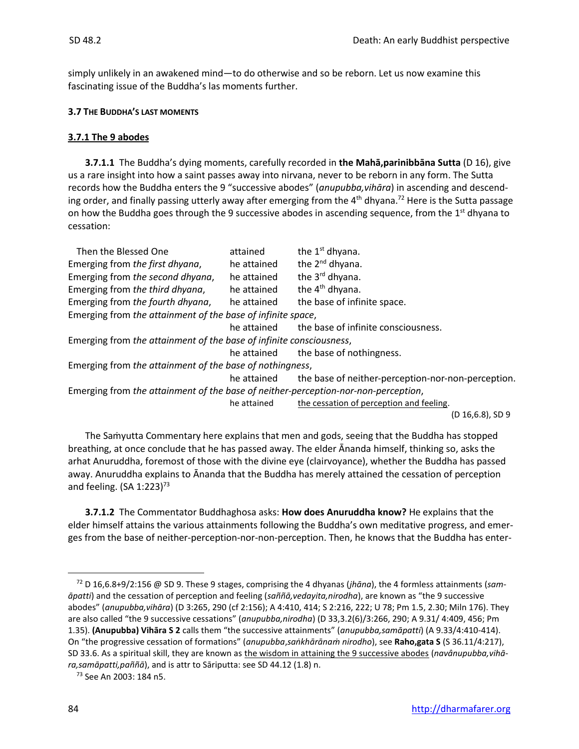simply unlikely in an awakened mind—to do otherwise and so be reborn. Let us now examine this fascinating issue of the Buddha's las moments further.

## **3.7 THE BUDDHA'S LAST MOMENTS**

## **3.7.1 The 9 abodes**

**3.7.1.1** The Buddha's dying moments, carefully recorded in **the Mahā,parinibbāna Sutta** (D 16), give us a rare insight into how a saint passes away into nirvana, never to be reborn in any form. The Sutta records how the Buddha enters the 9 "successive abodes" (*anupubba,vihāra*) in ascending and descending order, and finally passing utterly away after emerging from the 4<sup>th</sup> dhyana.<sup>72</sup> Here is the Sutta passage on how the Buddha goes through the 9 successive abodes in ascending sequence, from the 1<sup>st</sup> dhyana to cessation:

| Then the Blessed One                                                               | attained    | the 1 <sup>st</sup> dhyana.                        |  |
|------------------------------------------------------------------------------------|-------------|----------------------------------------------------|--|
| Emerging from the first dhyana,                                                    | he attained | the 2 <sup>nd</sup> dhyana.                        |  |
| Emerging from the second dhyana,                                                   | he attained | the 3 <sup>rd</sup> dhyana.                        |  |
| Emerging from the third dhyana,                                                    | he attained | the 4 <sup>th</sup> dhyana.                        |  |
| Emerging from the fourth dhyana,                                                   | he attained | the base of infinite space.                        |  |
| Emerging from the attainment of the base of infinite space,                        |             |                                                    |  |
|                                                                                    | he attained | the base of infinite consciousness.                |  |
| Emerging from the attainment of the base of infinite consciousness,                |             |                                                    |  |
|                                                                                    | he attained | the base of nothingness.                           |  |
| Emerging from the attainment of the base of nothingness,                           |             |                                                    |  |
|                                                                                    | he attained | the base of neither-perception-nor-non-perception. |  |
| Emerging from the attainment of the base of neither-perception-nor-non-perception, |             |                                                    |  |
|                                                                                    | he attained | the cessation of perception and feeling.           |  |
|                                                                                    |             | $(D 16, 6.8)$ , SD 9                               |  |

The Saṁyutta Commentary here explains that men and gods, seeing that the Buddha has stopped breathing, at once conclude that he has passed away. The elder Ānanda himself, thinking so, asks the arhat Anuruddha, foremost of those with the divine eye (clairvoyance), whether the Buddha has passed away. Anuruddha explains to Ānanda that the Buddha has merely attained the cessation of perception and feeling.  $(SA 1:223)^{73}$ 

**3.7.1.2** The Commentator Buddhaghosa asks: **How does Anuruddha know?** He explains that the elder himself attains the various attainments following the Buddha's own meditative progress, and emerges from the base of neither-perception-nor-non-perception. Then, he knows that the Buddha has enter-

<sup>72</sup> D 16,6.8+9/2:156 @ SD 9. These 9 stages, comprising the 4 dhyanas (*jhāna*), the 4 formless attainments (*samāpatti*) and the cessation of perception and feeling (*saññā,vedayita,nirodha*), are known as "the 9 successive abodes" (*anupubba,vihāra*) (D 3:265, 290 (cf 2:156); A 4:410, 414; S 2:216, 222; U 78; Pm 1.5, 2.30; Miln 176). They are also called "the 9 successive cessations" (*anupubba,nirodha*) (D 33,3.2(6)/3:266, 290; A 9.31/ 4:409, 456; Pm 1.35). **(Anupubba) Vihāra S 2** calls them "the successive attainments" (*anupubba,samāpatti*) (A 9.33/4:410-414). On "the progressive cessation of formations" (*anupubba*,*saṅkhārānaṁ nirodho*), see **Raho,gata S** (S 36.11/4:217), SD 33.6. As a spiritual skill, they are known as the wisdom in attaining the 9 successive abodes (*navânupubba,vihāra,samāpatti,paññā*), and is attr to Sāriputta: see SD 44.12 (1.8) n.

<sup>73</sup> See An 2003: 184 n5.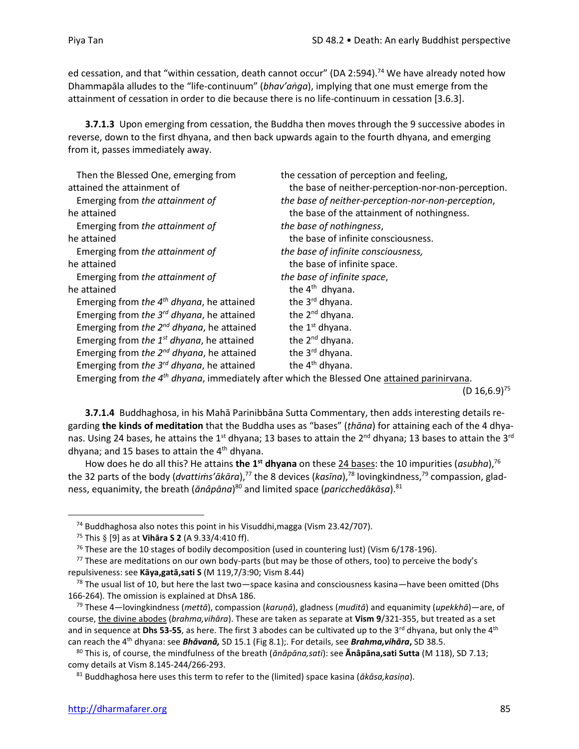ed cessation, and that "within cessation, death cannot occur" (DA 2:594).<sup>74</sup> We have already noted how Dhammapāla alludes to the "life-continuum" (*bhav'aṅga*), implying that one must emerge from the attainment of cessation in order to die because there is no life-continuum in cessation [3.6.3].

**3.7.1.3** Upon emerging from cessation, the Buddha then moves through the 9 successive abodes in reverse, down to the first dhyana, and then back upwards again to the fourth dhyana, and emerging from it, passes immediately away.

| Then the Blessed One, emerging from            | the cessation of perception and feeling,           |
|------------------------------------------------|----------------------------------------------------|
| attained the attainment of                     | the base of neither-perception-nor-non-perception. |
| Emerging from the attainment of                | the base of neither-perception-nor-non-perception, |
| he attained                                    | the base of the attainment of nothingness.         |
| Emerging from the attainment of                | the base of nothingness,                           |
| he attained                                    | the base of infinite consciousness.                |
| Emerging from the attainment of                | the base of infinite consciousness,                |
| he attained                                    | the base of infinite space.                        |
| Emerging from the attainment of                | the base of infinite space,                        |
| he attained                                    | the 4 <sup>th</sup> dhyana.                        |
| Emerging from the $4th$ dhyana, he attained    | the 3 <sup>rd</sup> dhyana.                        |
| Emerging from the $3^{rd}$ dhyana, he attained | the 2 <sup>nd</sup> dhyana.                        |
| Emerging from the $2^{nd}$ dhyana, he attained | the 1 <sup>st</sup> dhyana.                        |
| Emerging from the $1^{st}$ dhyana, he attained | the 2 <sup>nd</sup> dhyana.                        |
| Emerging from the $2^{nd}$ dhyana, he attained | the 3 <sup>rd</sup> dhyana.                        |
| Emerging from the $3^{rd}$ dhyana, he attained | the 4 <sup>th</sup> dhyana.                        |
|                                                |                                                    |

Emerging from *the 4<sup>th</sup> dhyana*, immediately after which the Blessed One attained parinirvana.

 $(D 16, 6.9)^{75}$ 

**3.7.1.4** Buddhaghosa, in his Mahā Parinibbāna Sutta Commentary, then adds interesting details regarding **the kinds of meditation** that the Buddha uses as "bases" (*ṭhāna*) for attaining each of the 4 dhyanas. Using 24 bases, he attains the 1<sup>st</sup> dhyana; 13 bases to attain the 2<sup>nd</sup> dhyana; 13 bases to attain the 3<sup>rd</sup> dhyana; and 15 bases to attain the  $4<sup>th</sup>$  dhyana.

How does he do all this? He attains **the 1<sup>st</sup> dhyana** on these 24 bases: the 10 impurities (*asubha*),<sup>76</sup> the 32 parts of the body (*dvattiṁs'ākāra*), <sup>77</sup> the 8 devices (*kasīna*), <sup>78</sup> lovingkindness,<sup>79</sup> compassion, gladness, equanimity, the breath (*ānâpāna*) <sup>80</sup> and limited space (*paricchedākāsa*).<sup>81</sup>

 $74$  Buddhaghosa also notes this point in his Visuddhi, magga (Vism 23.42/707).

<sup>75</sup> This [9] as at **Vihāra S 2** (A 9.33/4:410 ff).

<sup>&</sup>lt;sup>76</sup> These are the 10 stages of bodily decomposition (used in countering lust) (Vism 6/178-196).

 $77$  These are meditations on our own body-parts (but may be those of others, too) to perceive the body's repulsiveness: see **Kāya,gatā,sati S** (M 119,7/3:90; Vism 8.44)

 $^{78}$  The usual list of 10, but here the last two—space kasina and consciousness kasina—have been omitted (Dhs 166-264). The omission is explained at DhsA 186.

<sup>79</sup> These 4—lovingkindness (*mettā*), compassion (*karuṇā*), gladness (*muditā*) and equanimity (*upekkhā*)—are, of course, the divine abodes (*brahma,vihāra*). These are taken as separate at **Vism 9**/321-355, but treated as a set and in sequence at Dhs 53-55, as here. The first 3 abodes can be cultivated up to the 3<sup>rd</sup> dhyana, but only the 4<sup>th</sup> can reach the 4th dhyana: see *Bhāvanā,* SD 15.1 (Fig 8.1);. For details, see *Brahma,vihāra***,** SD 38.5.

<sup>80</sup> This is, of course, the mindfulness of the breath (*ānâpāna,sati*): see **Ānâpāna,sati Sutta** (M 118), SD 7.13; comy details at Vism 8.145-244/266-293.

<sup>81</sup> Buddhaghosa here uses this term to refer to the (limited) space kasina (*ākāsa,kasiṇa*).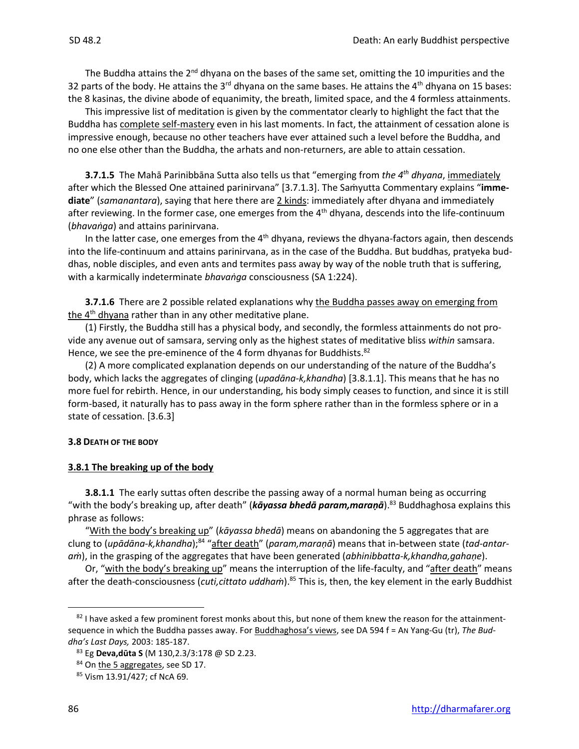The Buddha attains the  $2^{nd}$  dhyana on the bases of the same set, omitting the 10 impurities and the 32 parts of the body. He attains the  $3^{rd}$  dhyana on the same bases. He attains the  $4^{th}$  dhyana on 15 bases: the 8 kasinas, the divine abode of equanimity, the breath, limited space, and the 4 formless attainments.

This impressive list of meditation is given by the commentator clearly to highlight the fact that the Buddha has complete self-mastery even in his last moments. In fact, the attainment of cessation alone is impressive enough, because no other teachers have ever attained such a level before the Buddha, and no one else other than the Buddha, the arhats and non-returners, are able to attain cessation.

**3.7.1.5** The Mahā Parinibbāna Sutta also tells us that "emerging from *the 4 th dhyana*, immediately after which the Blessed One attained parinirvana" [3.7.1.3]. The Samyutta Commentary explains "imme**diate**" (*samanantara*), saying that here there are 2 kinds: immediately after dhyana and immediately after reviewing. In the former case, one emerges from the 4<sup>th</sup> dhyana, descends into the life-continuum (*bhavaṅga*) and attains parinirvana.

In the latter case, one emerges from the  $4<sup>th</sup>$  dhyana, reviews the dhyana-factors again, then descends into the life-continuum and attains parinirvana, as in the case of the Buddha. But buddhas, pratyeka buddhas, noble disciples, and even ants and termites pass away by way of the noble truth that is suffering, with a karmically indeterminate *bhavaṅga* consciousness (SA 1:224).

**3.7.1.6** There are 2 possible related explanations why the Buddha passes away on emerging from the 4<sup>th</sup> dhyana rather than in any other meditative plane.

(1) Firstly, the Buddha still has a physical body, and secondly, the formless attainments do not provide any avenue out of samsara, serving only as the highest states of meditative bliss *within* samsara. Hence, we see the pre-eminence of the 4 form dhyanas for Buddhists.<sup>82</sup>

(2) A more complicated explanation depends on our understanding of the nature of the Buddha's body, which lacks the aggregates of clinging (*upadāna-k,khandha*) [3.8.1.1]. This means that he has no more fuel for rebirth. Hence, in our understanding, his body simply ceases to function, and since it is still form-based, it naturally has to pass away in the form sphere rather than in the formless sphere or in a state of cessation. [3.6.3]

#### **3.8 DEATH OF THE BODY**

#### **3.8.1 The breaking up of the body**

**3.8.1.1** The early suttas often describe the passing away of a normal human being as occurring "with the body's breaking up, after death" (*kāyassa bhedā param,maraṇā*). <sup>83</sup> Buddhaghosa explains this phrase as follows:

"With the body's breaking up" (*kāyassa bhedā*) means on abandoning the 5 aggregates that are clung to (*upādāna-k,khandha*);<sup>84</sup> "<u>after death</u>" (*param,maraṇā*) means that in-between state (*tad-antaraṁ*), in the grasping of the aggregates that have been generated (*abhinibbatta-k,khandha,gahaṇe*).

Or, "with the body's breaking up" means the interruption of the life-faculty, and "after death" means after the death-consciousness (*cuti,cittato uddhaṁ*).<sup>85</sup> This is, then, the key element in the early Buddhist

<sup>82</sup> I have asked a few prominent forest monks about this, but none of them knew the reason for the attainmentsequence in which the Buddha passes away. For Buddhaghosa's views, see DA 594 f = AN Yang-Gu (tr), *The Buddha's Last Days,* 2003: 185-187.

<sup>83</sup> Eg **Deva,dūta S** (M 130,2.3/3:178 @ SD 2.23.

<sup>84</sup> On the 5 aggregates, see SD 17.

<sup>85</sup> Vism 13.91/427; cf NcA 69.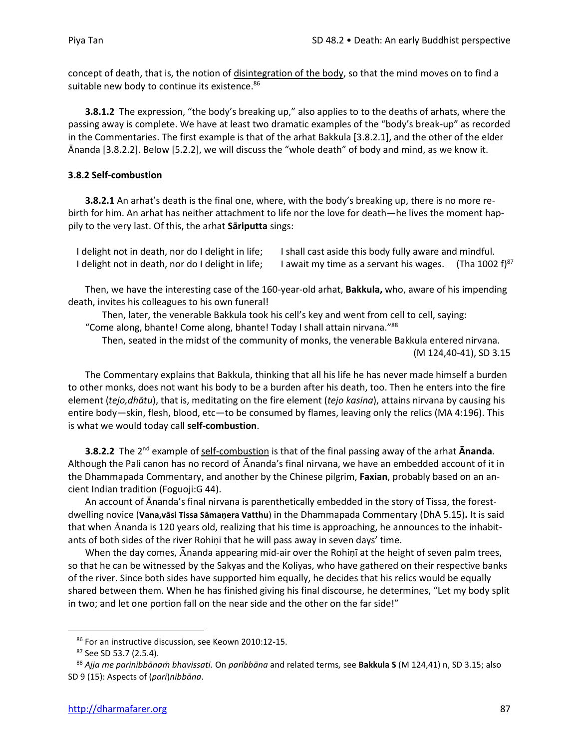concept of death, that is, the notion of disintegration of the body, so that the mind moves on to find a suitable new body to continue its existence.<sup>86</sup>

**3.8.1.2** The expression, "the body's breaking up," also applies to to the deaths of arhats, where the passing away is complete. We have at least two dramatic examples of the "body's break-up" as recorded in the Commentaries. The first example is that of the arhat Bakkula [3.8.2.1], and the other of the elder Ānanda [3.8.2.2]. Below [5.2.2], we will discuss the "whole death" of body and mind, as we know it.

## **3.8.2 Self-combustion**

**3.8.2.1** An arhat's death is the final one, where, with the body's breaking up, there is no more rebirth for him. An arhat has neither attachment to life nor the love for death—he lives the moment happily to the very last. Of this, the arhat **Sāriputta** sings:

| I delight not in death, nor do I delight in life; | I shall cast aside this body fully aware and mindful. |                            |
|---------------------------------------------------|-------------------------------------------------------|----------------------------|
| I delight not in death, nor do I delight in life; | I await my time as a servant his wages.               | (Tha 1002 f) <sup>87</sup> |

Then, we have the interesting case of the 160-year-old arhat, **Bakkula,** who, aware of his impending death, invites his colleagues to his own funeral!

Then, later, the venerable Bakkula took his cell's key and went from cell to cell, saying: "Come along, bhante! Come along, bhante! Today I shall attain nirvana."<sup>88</sup>

Then, seated in the midst of the community of monks, the venerable Bakkula entered nirvana. (M 124,40-41), SD 3.15

The Commentary explains that Bakkula, thinking that all his life he has never made himself a burden to other monks, does not want his body to be a burden after his death, too. Then he enters into the fire element (*tejo,dhātu*), that is, meditating on the fire element (*tejo kasina*), attains nirvana by causing his entire body—skin, flesh, blood, etc—to be consumed by flames, leaving only the relics (MA 4:196). This is what we would today call **self-combustion**.

**3.8.2.2** The 2<sup>nd</sup> example of self-combustion is that of the final passing away of the arhat **Ānanda**. Although the Pali canon has no record of Ananda's final nirvana, we have an embedded account of it in the Dhammapada Commentary, and another by the Chinese pilgrim, **Faxian**, probably based on an ancient Indian tradition (Foguoji:G 44).

An account of Ānanda's final nirvana is parenthetically embedded in the story of Tissa, the forestdwelling novice (**Vana,vāsi Tissa Sāmaṇera Vatthu**) in the Dhammapada Commentary (DhA 5.15)**.** It is said that when Ananda is 120 years old, realizing that his time is approaching, he announces to the inhabitants of both sides of the river Rohiṇī that he will pass away in seven days' time.

When the day comes, Ananda appearing mid-air over the Rohiṇī at the height of seven palm trees, so that he can be witnessed by the Sakyas and the Koliyas, who have gathered on their respective banks of the river. Since both sides have supported him equally, he decides that his relics would be equally shared between them. When he has finished giving his final discourse, he determines, "Let my body split in two; and let one portion fall on the near side and the other on the far side!"

<sup>86</sup> For an instructive discussion, see Keown 2010:12-15.

<sup>87</sup> See SD 53.7 (2.5.4).

<sup>88</sup> *Ajja me parinibbānaṁ bhavissati.* On *paribbāna* and related terms*,* see **Bakkula S** (M 124,41) n, SD 3.15; also SD 9 (15): Aspects of (*pari*)*nibbāna*.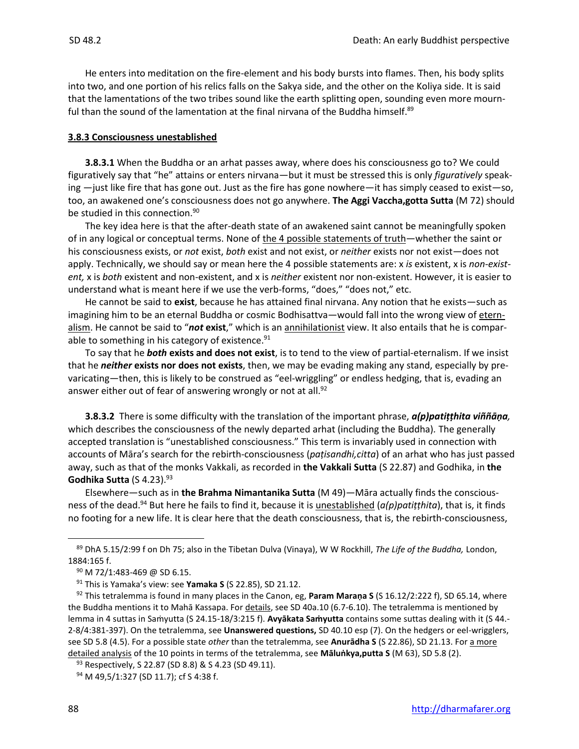He enters into meditation on the fire-element and his body bursts into flames. Then, his body splits into two, and one portion of his relics falls on the Sakya side, and the other on the Koliya side. It is said that the lamentations of the two tribes sound like the earth splitting open, sounding even more mournful than the sound of the lamentation at the final nirvana of the Buddha himself.<sup>89</sup>

#### **3.8.3 Consciousness unestablished**

**3.8.3.1** When the Buddha or an arhat passes away, where does his consciousness go to? We could figuratively say that "he" attains or enters nirvana—but it must be stressed this is only *figuratively* speaking —just like fire that has gone out. Just as the fire has gone nowhere—it has simply ceased to exist—so, too, an awakened one's consciousness does not go anywhere. **The Aggi Vaccha,gotta Sutta** (M 72) should be studied in this connection.<sup>90</sup>

The key idea here is that the after-death state of an awakened saint cannot be meaningfully spoken of in any logical or conceptual terms. None of the 4 possible statements of truth—whether the saint or his consciousness exists, or *not* exist, *both* exist and not exist, or *neither* exists nor not exist—does not apply. Technically, we should say or mean here the 4 possible statements are: x *is* existent, x is *non-existent,* x is *both* existent and non-existent, and x is *neither* existent nor non-existent. However, it is easier to understand what is meant here if we use the verb-forms, "does," "does not," etc.

He cannot be said to **exist**, because he has attained final nirvana. Any notion that he exists—such as imagining him to be an eternal Buddha or cosmic Bodhisattva—would fall into the wrong view of eternalism. He cannot be said to "*not* **exist**," which is an annihilationist view. It also entails that he is comparable to something in his category of existence.<sup>91</sup>

To say that he *both* **exists and does not exist**, is to tend to the view of partial-eternalism. If we insist that he *neither* **exists nor does not exists**, then, we may be evading making any stand, especially by prevaricating—then, this is likely to be construed as "eel-wriggling" or endless hedging, that is, evading an answer either out of fear of answering wrongly or not at all.<sup>92</sup>

**3.8.3.2** There is some difficulty with the translation of the important phrase, *a(p)patiṭṭhita viññāṇa,* which describes the consciousness of the newly departed arhat (including the Buddha)*.* The generally accepted translation is "unestablished consciousness." This term is invariably used in connection with accounts of Māra's search for the rebirth-consciousness (*paṭisandhi,citta*) of an arhat who has just passed away, such as that of the monks Vakkali, as recorded in **the Vakkali Sutta** (S 22.87) and Godhika, in **the Godhika Sutta** (S 4.23).<sup>93</sup>

Elsewhere—such as in **the Brahma Nimantanika Sutta** (M 49)—Māra actually finds the consciousness of the dead. <sup>94</sup> But here he fails to find it, because it is unestablished (*a(p)patiṭṭhita*), that is, it finds no footing for a new life. It is clear here that the death consciousness, that is, the rebirth-consciousness,

93 Respectively, S 22.87 (SD 8.8) & S 4.23 (SD 49.11).

<sup>89</sup> DhA 5.15/2:99 f on Dh 75; also in the Tibetan Dulva (Vinaya), W W Rockhill, *The Life of the Buddha,* London, 1884:165 f.

<sup>90</sup> M 72/1:483-469 @ SD 6.15.

<sup>91</sup> This is Yamaka's view: see **Yamaka S** (S 22.85), SD 21.12.

<sup>92</sup> This tetralemma is found in many places in the Canon, eg, **Param Maraṇa S** (S 16.12/2:222 f), SD 65.14, where the Buddha mentions it to Mahā Kassapa. For details, see SD 40a.10 (6.7-6.10). The tetralemma is mentioned by lemma in 4 suttas in Saṁyutta (S 24.15-18/3:215 f). **Avyākata Saṁyutta** contains some suttas dealing with it (S 44.- 2-8/4:381-397). On the tetralemma, see **Unanswered questions,** SD 40.10 esp (7). On the hedgers or eel-wrigglers, see SD 5.8 (4.5). For a possible state *other* than the tetralemma, see **Anurādha S** (S 22.86), SD 21.13. For a more detailed analysis of the 10 points in terms of the tetralemma, see **Māluṅkya,putta S** (M 63), SD 5.8 (2).

<sup>&</sup>lt;sup>94</sup> M 49,5/1:327 (SD 11.7); cf S 4:38 f.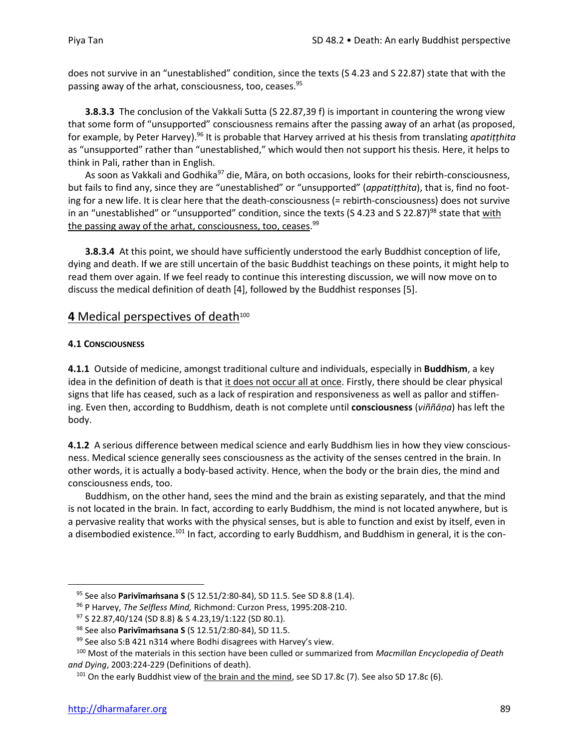does not survive in an "unestablished" condition, since the texts (S 4.23 and S 22.87) state that with the passing away of the arhat, consciousness, too, ceases.<sup>95</sup>

**3.8.3.3** The conclusion of the Vakkali Sutta (S 22.87,39 f) is important in countering the wrong view that some form of "unsupported" consciousness remains after the passing away of an arhat (as proposed, for example, by Peter Harvey).<sup>96</sup> It is probable that Harvey arrived at his thesis from translating *apatiṭṭhita* as "unsupported" rather than "unestablished," which would then not support his thesis. Here, it helps to think in Pali, rather than in English.

As soon as Vakkali and Godhika<sup>97</sup> die, Māra, on both occasions, looks for their rebirth-consciousness, but fails to find any, since they are "unestablished" or "unsupported" (*appatiṭṭhita*), that is, find no footing for a new life. It is clear here that the death-consciousness (= rebirth-consciousness) does not survive in an "unestablished" or "unsupported" condition, since the texts (S 4.23 and S 22.87)<sup>98</sup> state that with the passing away of the arhat, consciousness, too, ceases.<sup>99</sup>

**3.8.3.4** At this point, we should have sufficiently understood the early Buddhist conception of life, dying and death. If we are still uncertain of the basic Buddhist teachings on these points, it might help to read them over again. If we feel ready to continue this interesting discussion, we will now move on to discuss the medical definition of death [4], followed by the Buddhist responses [5].

## 4 Medical perspectives of death<sup>100</sup>

## **4.1 CONSCIOUSNESS**

**4.1.1** Outside of medicine, amongst traditional culture and individuals, especially in **Buddhism**, a key idea in the definition of death is that it does not occur all at once. Firstly, there should be clear physical signs that life has ceased, such as a lack of respiration and responsiveness as well as pallor and stiffening. Even then, according to Buddhism, death is not complete until **consciousness** (*viññāṇa*) has left the body.

**4.1.2** A serious difference between medical science and early Buddhism lies in how they view consciousness. Medical science generally sees consciousness as the activity of the senses centred in the brain. In other words, it is actually a body-based activity. Hence, when the body or the brain dies, the mind and consciousness ends, too.

Buddhism, on the other hand, sees the mind and the brain as existing separately, and that the mind is not located in the brain. In fact, according to early Buddhism, the mind is not located anywhere, but is a pervasive reality that works with the physical senses, but is able to function and exist by itself, even in a disembodied existence.<sup>101</sup> In fact, according to early Buddhism, and Buddhism in general, it is the con-

<sup>95</sup> See also **Parivīmaṁsana S** (S 12.51/2:80-84), SD 11.5. See SD 8.8 (1.4).

<sup>96</sup> P Harvey, *The Selfless Mind,* Richmond: Curzon Press, 1995:208-210.

<sup>97</sup> S 22.87,40/124 (SD 8.8) & S 4.23,19/1:122 (SD 80.1).

<sup>98</sup> See also **Parivīmaṁsana S** (S 12.51/2:80-84), SD 11.5.

 $99$  See also S:B 421 n314 where Bodhi disagrees with Harvey's view.

<sup>100</sup> Most of the materials in this section have been culled or summarized from *Macmillan Encyclopedia of Death and Dying*, 2003:224-229 (Definitions of death).

 $101$  On the early Buddhist view of the brain and the mind, see SD 17.8c (7). See also SD 17.8c (6).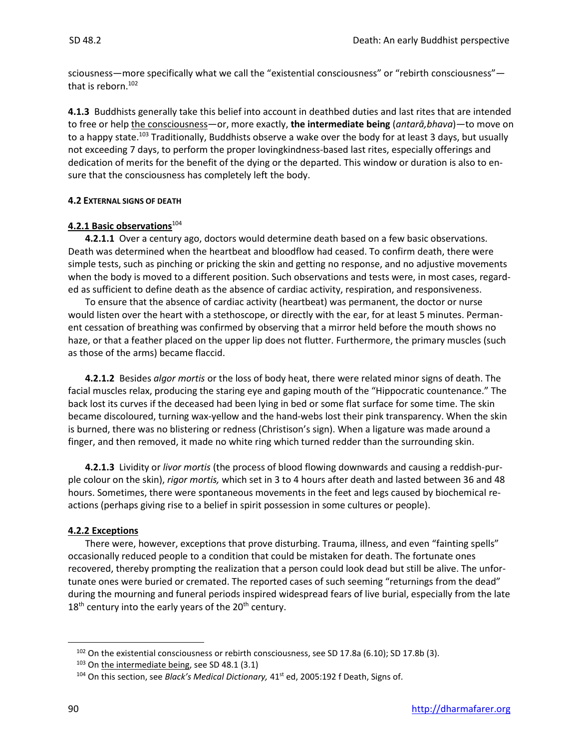sciousness—more specifically what we call the "existential consciousness" or "rebirth consciousness" that is reborn.<sup>102</sup>

**4.1.3** Buddhists generally take this belief into account in deathbed duties and last rites that are intended to free or help the consciousness—or, more exactly, **the intermediate being** (*antarā,bhava*)—to move on to a happy state.<sup>103</sup> Traditionally, Buddhists observe a wake over the body for at least 3 days, but usually not exceeding 7 days, to perform the proper lovingkindness-based last rites, especially offerings and dedication of merits for the benefit of the dying or the departed. This window or duration is also to ensure that the consciousness has completely left the body.

## **4.2 EXTERNAL SIGNS OF DEATH**

## **4.2.1 Basic observations**<sup>104</sup>

**4.2.1.1** Over a century ago, doctors would determine death based on a few basic observations. Death was determined when the heartbeat and bloodflow had ceased. To confirm death, there were simple tests, such as pinching or pricking the skin and getting no response, and no adjustive movements when the body is moved to a different position. Such observations and tests were, in most cases, regarded as sufficient to define death as the absence of cardiac activity, respiration, and responsiveness.

To ensure that the absence of cardiac activity (heartbeat) was permanent, the doctor or nurse would listen over the heart with a stethoscope, or directly with the ear, for at least 5 minutes. Permanent cessation of breathing was confirmed by observing that a mirror held before the mouth shows no haze, or that a feather placed on the upper lip does not flutter. Furthermore, the primary muscles (such as those of the arms) became flaccid.

**4.2.1.2** Besides *algor mortis* or the loss of body heat, there were related minor signs of death. The facial muscles relax, producing the staring eye and gaping mouth of the "Hippocratic countenance." The back lost its curves if the deceased had been lying in bed or some flat surface for some time. The skin became discoloured, turning wax-yellow and the hand-webs lost their pink transparency. When the skin is burned, there was no blistering or redness (Christison's sign). When a ligature was made around a finger, and then removed, it made no white ring which turned redder than the surrounding skin.

**4.2.1.3** Lividity or *livor mortis* (the process of blood flowing downwards and causing a reddish-purple colour on the skin), *rigor mortis,* which set in 3 to 4 hours after death and lasted between 36 and 48 hours. Sometimes, there were spontaneous movements in the feet and legs caused by biochemical reactions (perhaps giving rise to a belief in spirit possession in some cultures or people).

## **4.2.2 Exceptions**

There were, however, exceptions that prove disturbing. Trauma, illness, and even "fainting spells" occasionally reduced people to a condition that could be mistaken for death. The fortunate ones recovered, thereby prompting the realization that a person could look dead but still be alive. The unfortunate ones were buried or cremated. The reported cases of such seeming "returnings from the dead" during the mourning and funeral periods inspired widespread fears of live burial, especially from the late  $18<sup>th</sup>$  century into the early years of the 20<sup>th</sup> century.

<sup>102</sup> On the existential consciousness or rebirth consciousness, see SD 17.8a (6.10); SD 17.8b (3).

<sup>103</sup> On the intermediate being, see SD 48.1 (3.1)

<sup>&</sup>lt;sup>104</sup> On this section, see *Black's Medical Dictionary*, 41<sup>st</sup> ed, 2005:192 f Death, Signs of.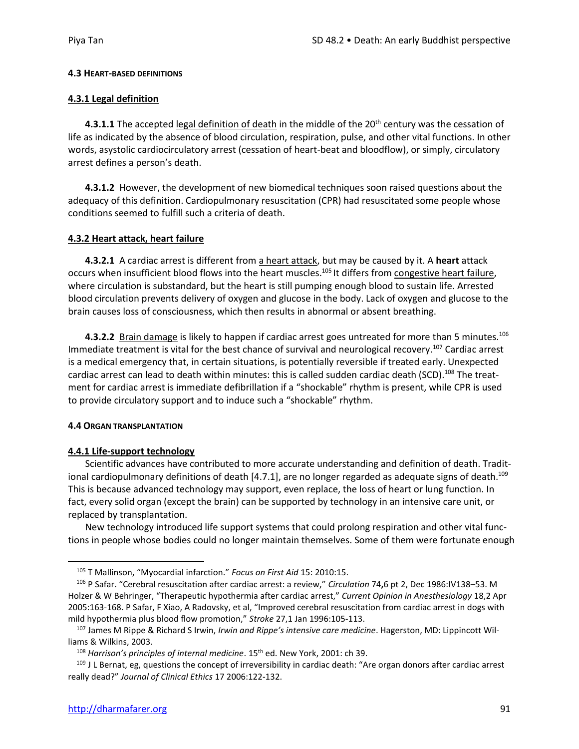#### **4.3 HEART-BASED DEFINITIONS**

## **4.3.1 Legal definition**

4.3.1.1 The accepted legal definition of death in the middle of the 20<sup>th</sup> century was the cessation of life as indicated by the absence of blood circulation, respiration, pulse, and other vital functions. In other words, asystolic cardiocirculatory arrest (cessation of heart-beat and bloodflow), or simply, circulatory arrest defines a person's death.

**4.3.1.2** However, the development of new biomedical techniques soon raised questions about the adequacy of this definition. Cardiopulmonary resuscitation (CPR) had resuscitated some people whose conditions seemed to fulfill such a criteria of death.

## **4.3.2 Heart attack, heart failure**

**4.3.2.1** A cardiac arrest is different from a heart attack, but may be caused by it. A **heart** attack occurs when insufficient blood flows into the heart muscles.<sup>105</sup> It differs from congestive heart failure, where circulation is substandard, but the heart is still pumping enough blood to sustain life. Arrested blood circulation prevents delivery of oxygen and glucose in the body. Lack of oxygen and glucose to the brain causes loss of consciousness, which then results in abnormal or absent breathing.

**4.3.2.2** Brain damage is likely to happen if cardiac arrest goes untreated for more than 5 minutes.<sup>106</sup> Immediate treatment is vital for the best chance of survival and neurological recovery.<sup>107</sup> Cardiac arrest is a medical emergency that, in certain situations, is potentially reversible if treated early. Unexpected cardiac arrest can lead to death within minutes: this is called sudden cardiac death (SCD).<sup>108</sup> The treatment for cardiac arrest is immediate defibrillation if a "shockable" rhythm is present, while CPR is used to provide circulatory support and to induce such a "shockable" rhythm.

#### **4.4 ORGAN TRANSPLANTATION**

## **4.4.1 Life-support technology**

Scientific advances have contributed to more accurate understanding and definition of death. Traditional cardiopulmonary definitions of death [4.7.1], are no longer regarded as adequate signs of death.<sup>109</sup> This is because advanced technology may support, even replace, the loss of heart or lung function. In fact, every solid organ (except the brain) can be supported by technology in an intensive care unit, or replaced by transplantation.

New technology introduced life support systems that could prolong respiration and other vital functions in people whose bodies could no longer maintain themselves. Some of them were fortunate enough

<sup>105</sup> T Mallinson, "Myocardial infarction." *Focus on First Aid* 15: 2010:15.

<sup>106</sup> P Safar. "Cerebral resuscitation after cardiac arrest: a review," *Circulation* 74**,**6 pt 2, Dec 1986:IV138–53. M Holzer & W Behringer, "Therapeutic hypothermia after cardiac arrest," *Current Opinion in Anesthesiology* 18,2 Apr 2005:163-168. P Safar, F Xiao, A Radovsky, et al, "Improved cerebral resuscitation from cardiac arrest in dogs with mild hypothermia plus blood flow promotion," *Stroke* 27,1 Jan 1996:105-113.

<sup>107</sup> James M Rippe & Richard S Irwin, *Irwin and Rippe's intensive care medicine*. Hagerston, MD: Lippincott Williams & Wilkins, 2003.

<sup>&</sup>lt;sup>108</sup> Harrison's principles of internal medicine. 15<sup>th</sup> ed. New York, 2001: ch 39.

<sup>&</sup>lt;sup>109</sup> J L Bernat, eg, questions the concept of irreversibility in cardiac death: "Are organ donors after cardiac arrest really dead?" *Journal of Clinical Ethics* 17 2006:122-132.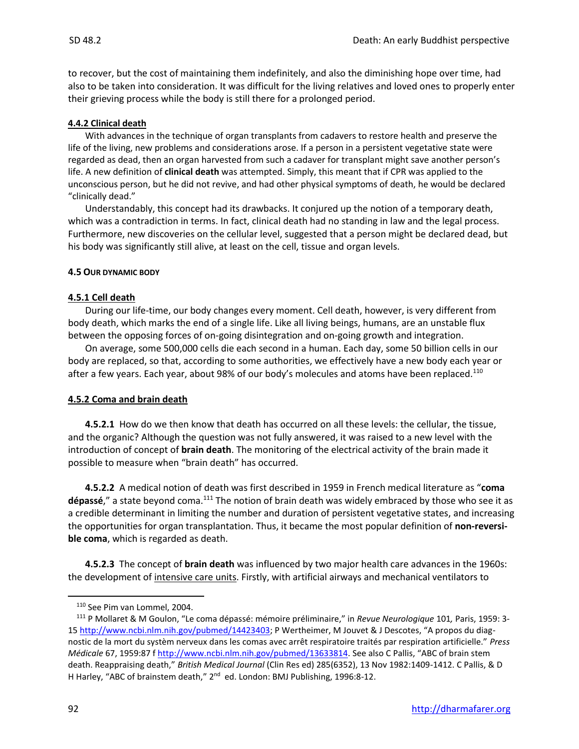to recover, but the cost of maintaining them indefinitely, and also the diminishing hope over time, had also to be taken into consideration. It was difficult for the living relatives and loved ones to properly enter their grieving process while the body is still there for a prolonged period.

#### **4.4.2 Clinical death**

With advances in the technique of organ transplants from cadavers to restore health and preserve the life of the living, new problems and considerations arose. If a person in a persistent vegetative state were regarded as dead, then an organ harvested from such a cadaver for transplant might save another person's life. A new definition of **clinical death** was attempted. Simply, this meant that if CPR was applied to the unconscious person, but he did not revive, and had other physical symptoms of death, he would be declared "clinically dead."

Understandably, this concept had its drawbacks. It conjured up the notion of a temporary death, which was a contradiction in terms. In fact, clinical death had no standing in law and the legal process. Furthermore, new discoveries on the cellular level, suggested that a person might be declared dead, but his body was significantly still alive, at least on the cell, tissue and organ levels.

## **4.5 OUR DYNAMIC BODY**

## **4.5.1 Cell death**

During our life-time, our body changes every moment. Cell death, however, is very different from body death, which marks the end of a single life. Like all living beings, humans, are an unstable flux between the opposing forces of on-going disintegration and on-going growth and integration.

On average, some 500,000 cells die each second in a human. Each day, some 50 billion cells in our body are replaced, so that, according to some authorities, we effectively have a new body each year or after a few years. Each year, about 98% of our body's molecules and atoms have been replaced.<sup>110</sup>

#### **4.5.2 Coma and brain death**

**4.5.2.1** How do we then know that death has occurred on all these levels: the cellular, the tissue, and the organic? Although the question was not fully answered, it was raised to a new level with the introduction of concept of **brain death**. The monitoring of the electrical activity of the brain made it possible to measure when "brain death" has occurred.

**4.5.2.2** A medical notion of death was first described in 1959 in French medical literature as "**coma**  dépassé," a state beyond coma.<sup>111</sup> The notion of brain death was widely embraced by those who see it as a credible determinant in limiting the number and duration of persistent vegetative states, and increasing the opportunities for organ transplantation. Thus, it became the most popular definition of **non-reversible coma**, which is regarded as death.

**4.5.2.3** The concept of **brain death** was influenced by two major health care advances in the 1960s: the development of intensive care units. Firstly, with artificial airways and mechanical ventilators to

<sup>110</sup> See Pim van Lommel, 2004.

<sup>111</sup> P Mollaret & M Goulon, "Le coma dépassé: mémoire préliminaire," in *Revue Neurologique* 101*,* Paris, 1959: 3- 1[5 http://www.ncbi.nlm.nih.gov/pubmed/14423403](http://www.ncbi.nlm.nih.gov/pubmed/14423403); P Wertheimer, M Jouvet & J Descotes, "A propos du diagnostic de la mort du systèm nerveux dans les comas avec arrêt respiratoire traités par respiration artificielle." *Press Médicale* 67, 1959:87 f<http://www.ncbi.nlm.nih.gov/pubmed/13633814>. See also C Pallis, "ABC of brain stem death. Reappraising death," *British Medical Journal* (Clin Res ed) 285(6352), 13 Nov 1982:1409-1412. C Pallis, & D H Harley, "ABC of brainstem death," 2<sup>nd</sup> ed. London: BMJ Publishing, 1996:8-12.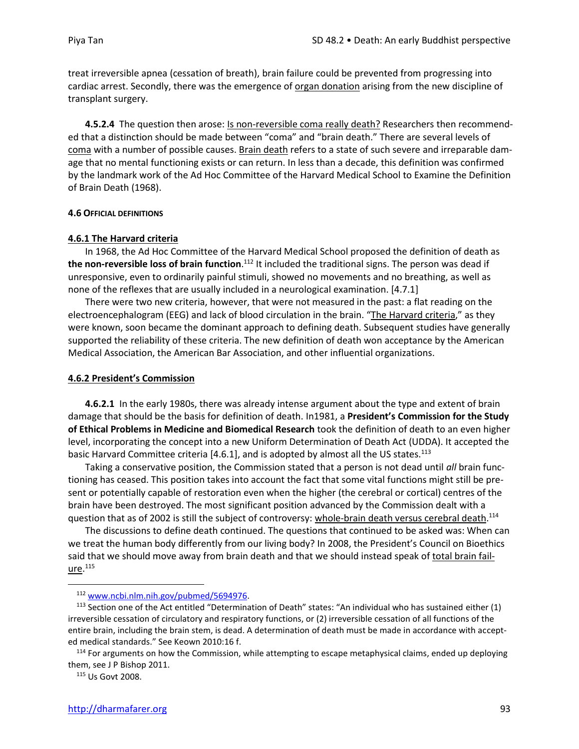treat irreversible apnea (cessation of breath), brain failure could be prevented from progressing into cardiac arrest. Secondly, there was the emergence of organ donation arising from the new discipline of transplant surgery.

**4.5.2.4** The question then arose: **Is non-reversible coma really death?** Researchers then recommended that a distinction should be made between "coma" and "brain death." There are several levels of coma with a number of possible causes. Brain death refers to a state of such severe and irreparable damage that no mental functioning exists or can return. In less than a decade, this definition was confirmed by the landmark work of the Ad Hoc Committee of the Harvard Medical School to Examine the Definition of Brain Death (1968).

#### **4.6 OFFICIAL DEFINITIONS**

#### **4.6.1 The Harvard criteria**

In 1968, the Ad Hoc Committee of the Harvard Medical School proposed the definition of death as **the non-reversible loss of brain function**. <sup>112</sup> It included the traditional signs. The person was dead if unresponsive, even to ordinarily painful stimuli, showed no movements and no breathing, as well as none of the reflexes that are usually included in a neurological examination. [4.7.1]

There were two new criteria, however, that were not measured in the past: a flat reading on the electroencephalogram (EEG) and lack of blood circulation in the brain. "The Harvard criteria," as they were known, soon became the dominant approach to defining death. Subsequent studies have generally supported the reliability of these criteria. The new definition of death won acceptance by the American Medical Association, the American Bar Association, and other influential organizations.

#### **4.6.2 President's Commission**

**4.6.2.1** In the early 1980s, there was already intense argument about the type and extent of brain damage that should be the basis for definition of death. In1981, a **President's Commission for the Study of Ethical Problems in Medicine and Biomedical Research** took the definition of death to an even higher level, incorporating the concept into a new Uniform Determination of Death Act (UDDA). It accepted the basic Harvard Committee criteria [4.6.1], and is adopted by almost all the US states.<sup>113</sup>

Taking a conservative position, the Commission stated that a person is not dead until *all* brain functioning has ceased. This position takes into account the fact that some vital functions might still be present or potentially capable of restoration even when the higher (the cerebral or cortical) centres of the brain have been destroyed. The most significant position advanced by the Commission dealt with a question that as of 2002 is still the subject of controversy: whole-brain death versus cerebral death.<sup>114</sup>

The discussions to define death continued. The questions that continued to be asked was: When can we treat the human body differently from our living body? In 2008, the President's Council on Bioethics said that we should move away from brain death and that we should instead speak of total brain fail-<u>ure</u>.<sup>115</sup>

<sup>112</sup> [www.ncbi.nlm.nih.gov/pubmed/5694976.](http://www.ncbi.nlm.nih.gov/pubmed/5694976)

 $113$  Section one of the Act entitled "Determination of Death" states: "An individual who has sustained either (1) irreversible cessation of circulatory and respiratory functions, or (2) irreversible cessation of all functions of the entire brain, including the brain stem, is dead. A determination of death must be made in accordance with accepted medical standards." See Keown 2010:16 f.

<sup>&</sup>lt;sup>114</sup> For arguments on how the Commission, while attempting to escape metaphysical claims, ended up deploying them, see J P Bishop 2011.

<sup>115</sup> Us Govt 2008.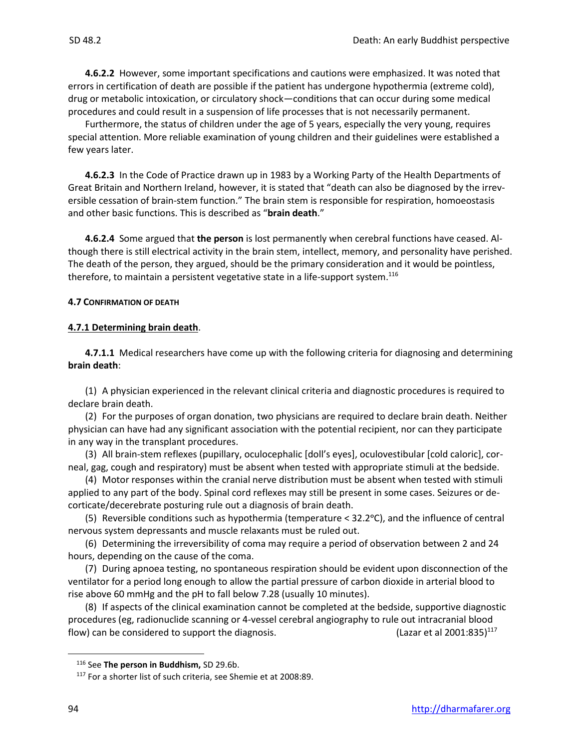**4.6.2.2** However, some important specifications and cautions were emphasized. It was noted that errors in certification of death are possible if the patient has undergone hypothermia (extreme cold), drug or metabolic intoxication, or circulatory shock—conditions that can occur during some medical procedures and could result in a suspension of life processes that is not necessarily permanent.

Furthermore, the status of children under the age of 5 years, especially the very young, requires special attention. More reliable examination of young children and their guidelines were established a few years later.

**4.6.2.3** In the Code of Practice drawn up in 1983 by a Working Party of the Health Departments of Great Britain and Northern Ireland, however, it is stated that "death can also be diagnosed by the irreversible cessation of brain-stem function." The brain stem is responsible for respiration, homoeostasis and other basic functions. This is described as "**brain death**."

**4.6.2.4** Some argued that **the person** is lost permanently when cerebral functions have ceased. Although there is still electrical activity in the brain stem, intellect, memory, and personality have perished. The death of the person, they argued, should be the primary consideration and it would be pointless, therefore, to maintain a persistent vegetative state in a life-support system.<sup>116</sup>

#### **4.7 CONFIRMATION OF DEATH**

## **4.7.1 Determining brain death**.

**4.7.1.1** Medical researchers have come up with the following criteria for diagnosing and determining **brain death**:

(1) A physician experienced in the relevant clinical criteria and diagnostic procedures is required to declare brain death.

(2) For the purposes of organ donation, two physicians are required to declare brain death. Neither physician can have had any significant association with the potential recipient, nor can they participate in any way in the transplant procedures.

(3) All brain-stem reflexes (pupillary, oculocephalic [doll's eyes], oculovestibular [cold caloric], corneal, gag, cough and respiratory) must be absent when tested with appropriate stimuli at the bedside.

(4) Motor responses within the cranial nerve distribution must be absent when tested with stimuli applied to any part of the body. Spinal cord reflexes may still be present in some cases. Seizures or decorticate/decerebrate posturing rule out a diagnosis of brain death.

(5) Reversible conditions such as hypothermia (temperature  $<$  32.2 $\degree$ C), and the influence of central nervous system depressants and muscle relaxants must be ruled out.

(6) Determining the irreversibility of coma may require a period of observation between 2 and 24 hours, depending on the cause of the coma.

(7) During apnoea testing, no spontaneous respiration should be evident upon disconnection of the ventilator for a period long enough to allow the partial pressure of carbon dioxide in arterial blood to rise above 60 mmHg and the pH to fall below 7.28 (usually 10 minutes).

(8) If aspects of the clinical examination cannot be completed at the bedside, supportive diagnostic procedures (eg, radionuclide scanning or 4-vessel cerebral angiography to rule out intracranial blood flow) can be considered to support the diagnosis.  $($ Lazar et al 2001:835)<sup>117</sup>

<sup>116</sup> See **The person in Buddhism,** SD 29.6b.

<sup>117</sup> For a shorter list of such criteria, see Shemie et at 2008:89.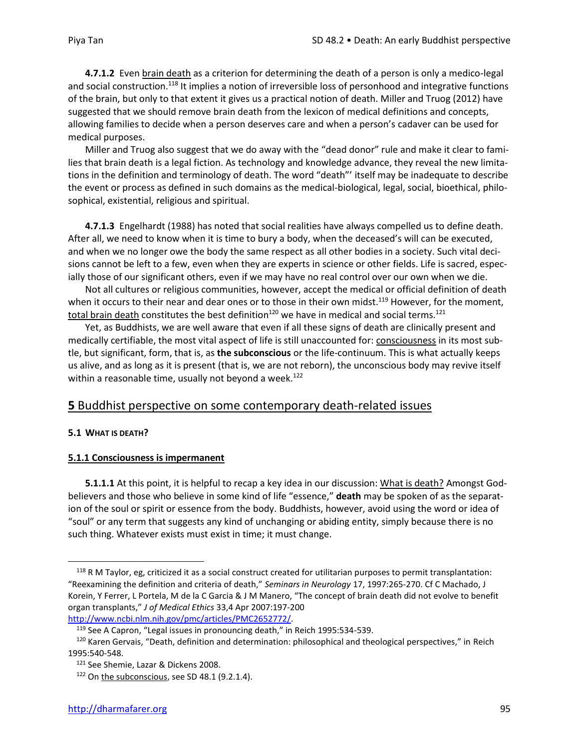**4.7.1.2** Even brain death as a criterion for determining the death of a person is only a medico-legal and social construction.<sup>118</sup> It implies a notion of irreversible loss of personhood and integrative functions of the brain, but only to that extent it gives us a practical notion of death. Miller and Truog (2012) have suggested that we should remove brain death from the lexicon of medical definitions and concepts, allowing families to decide when a person deserves care and when a person's cadaver can be used for medical purposes.

Miller and Truog also suggest that we do away with the "dead donor" rule and make it clear to families that brain death is a legal fiction. As technology and knowledge advance, they reveal the new limitations in the definition and terminology of death. The word "death"' itself may be inadequate to describe the event or process as defined in such domains as the medical-biological, legal, social, bioethical, philosophical, existential, religious and spiritual.

**4.7.1.3** Engelhardt (1988) has noted that social realities have always compelled us to define death. After all, we need to know when it is time to bury a body, when the deceased's will can be executed, and when we no longer owe the body the same respect as all other bodies in a society. Such vital decisions cannot be left to a few, even when they are experts in science or other fields. Life is sacred, especially those of our significant others, even if we may have no real control over our own when we die.

Not all cultures or religious communities, however, accept the medical or official definition of death when it occurs to their near and dear ones or to those in their own midst.<sup>119</sup> However, for the moment, total brain death constitutes the best definition<sup>120</sup> we have in medical and social terms.<sup>121</sup>

Yet, as Buddhists, we are well aware that even if all these signs of death are clinically present and medically certifiable, the most vital aspect of life is still unaccounted for: consciousness in its most subtle, but significant, form, that is, as **the subconscious** or the life-continuum. This is what actually keeps us alive, and as long as it is present (that is, we are not reborn), the unconscious body may revive itself within a reasonable time, usually not beyond a week.<sup>122</sup>

## **5** Buddhist perspective on some contemporary death-related issues

## **5.1 WHAT IS DEATH?**

## **5.1.1 Consciousness is impermanent**

**5.1.1.1** At this point, it is helpful to recap a key idea in our discussion: What is death? Amongst Godbelievers and those who believe in some kind of life "essence," **death** may be spoken of as the separation of the soul or spirit or essence from the body. Buddhists, however, avoid using the word or idea of "soul" or any term that suggests any kind of unchanging or abiding entity, simply because there is no such thing. Whatever exists must exist in time; it must change.

[http://www.ncbi.nlm.nih.gov/pmc/articles/PMC2652772/.](http://www.ncbi.nlm.nih.gov/pmc/articles/PMC2652772/)

<sup>&</sup>lt;sup>118</sup> R M Taylor, eg, criticized it as a social construct created for utilitarian purposes to permit transplantation: "Reexamining the definition and criteria of death," *Seminars in Neurology* 17, 1997:265-270. Cf C Machado, J Korein, Y Ferrer, L Portela, M de la C Garcia & J M Manero, "The concept of brain death did not evolve to benefit organ transplants," *J of Medical Ethics* 33,4 Apr 2007:197-200

<sup>119</sup> See A Capron, "Legal issues in pronouncing death," in Reich 1995:534-539.

<sup>&</sup>lt;sup>120</sup> Karen Gervais, "Death, definition and determination: philosophical and theological perspectives," in Reich 1995:540-548.

<sup>&</sup>lt;sup>121</sup> See Shemie, Lazar & Dickens 2008.

<sup>&</sup>lt;sup>122</sup> On the subconscious, see SD 48.1 (9.2.1.4).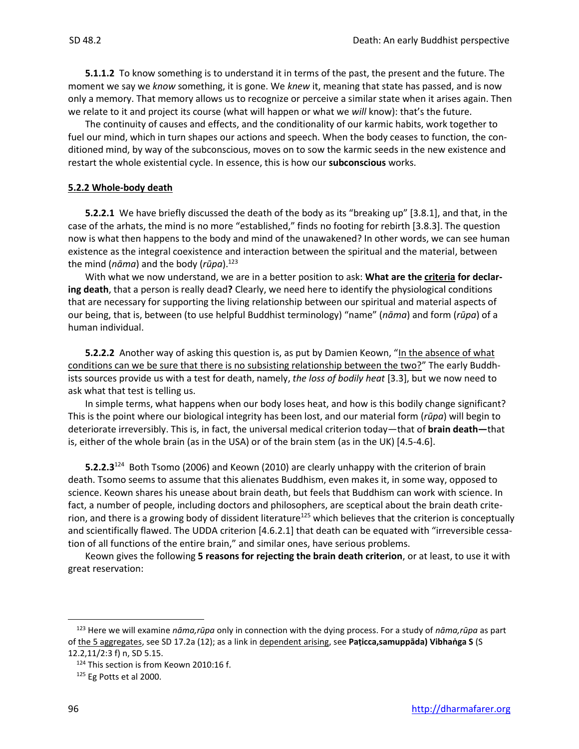**5.1.1.2** To know something is to understand it in terms of the past, the present and the future. The moment we say we *know* something, it is gone. We *knew* it, meaning that state has passed, and is now only a memory. That memory allows us to recognize or perceive a similar state when it arises again. Then we relate to it and project its course (what will happen or what we *will* know): that's the future.

The continuity of causes and effects, and the conditionality of our karmic habits, work together to fuel our mind, which in turn shapes our actions and speech. When the body ceases to function, the conditioned mind, by way of the subconscious, moves on to sow the karmic seeds in the new existence and restart the whole existential cycle. In essence, this is how our **subconscious** works.

#### **5.2.2 Whole-body death**

**5.2.2.1** We have briefly discussed the death of the body as its "breaking up" [3.8.1], and that, in the case of the arhats, the mind is no more "established," finds no footing for rebirth [3.8.3]. The question now is what then happens to the body and mind of the unawakened? In other words, we can see human existence as the integral coexistence and interaction between the spiritual and the material, between the mind (*nāma*) and the body (*rūpa*).<sup>123</sup>

With what we now understand, we are in a better position to ask: **What are the criteria for declaring death**, that a person is really dead**?** Clearly, we need here to identify the physiological conditions that are necessary for supporting the living relationship between our spiritual and material aspects of our being, that is, between (to use helpful Buddhist terminology) "name" (*nāma*) and form (*rūpa*) of a human individual.

**5.2.2.2** Another way of asking this question is, as put by Damien Keown, "In the absence of what conditions can we be sure that there is no subsisting relationship between the two?" The early Buddhists sources provide us with a test for death, namely, *the loss of bodily heat* [3.3], but we now need to ask what that test is telling us.

In simple terms, what happens when our body loses heat, and how is this bodily change significant? This is the point where our biological integrity has been lost, and our material form (*rūpa*) will begin to deteriorate irreversibly. This is, in fact, the universal medical criterion today—that of **brain death—**that is, either of the whole brain (as in the USA) or of the brain stem (as in the UK) [4.5-4.6].

**5.2.2.3**<sup>124</sup> Both Tsomo (2006) and Keown (2010) are clearly unhappy with the criterion of brain death. Tsomo seems to assume that this alienates Buddhism, even makes it, in some way, opposed to science. Keown shares his unease about brain death, but feels that Buddhism can work with science. In fact, a number of people, including doctors and philosophers, are sceptical about the brain death criterion, and there is a growing body of dissident literature<sup>125</sup> which believes that the criterion is conceptually and scientifically flawed. The UDDA criterion [4.6.2.1] that death can be equated with "irreversible cessation of all functions of the entire brain," and similar ones, have serious problems.

Keown gives the following **5 reasons for rejecting the brain death criterion**, or at least, to use it with great reservation:

<sup>123</sup> Here we will examine *nāma,rūpa* only in connection with the dying process. For a study of *nāma,rūpa* as part of the 5 aggregates, see SD 17.2a (12); as a link in dependent arising, see **Paṭicca,samuppāda) Vibhaṅga S** (S 12.2,11/2:3 f) n, SD 5.15.

<sup>124</sup> This section is from Keown 2010:16 f.

 $125$  Eg Potts et al 2000.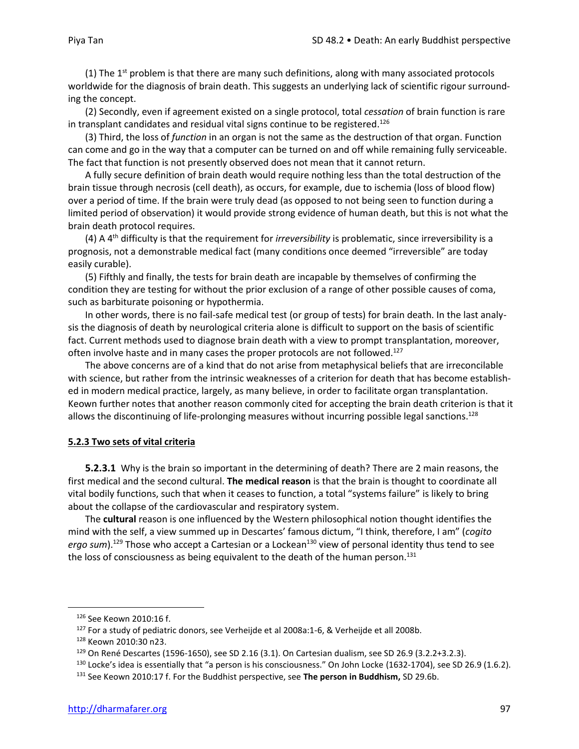(1) The  $1<sup>st</sup>$  problem is that there are many such definitions, along with many associated protocols worldwide for the diagnosis of brain death. This suggests an underlying lack of scientific rigour surrounding the concept.

(2) Secondly, even if agreement existed on a single protocol, total *cessation* of brain function is rare in transplant candidates and residual vital signs continue to be registered. 126

(3) Third, the loss of *function* in an organ is not the same as the destruction of that organ. Function can come and go in the way that a computer can be turned on and off while remaining fully serviceable. The fact that function is not presently observed does not mean that it cannot return.

A fully secure definition of brain death would require nothing less than the total destruction of the brain tissue through necrosis (cell death), as occurs, for example, due to ischemia (loss of blood flow) over a period of time. If the brain were truly dead (as opposed to not being seen to function during a limited period of observation) it would provide strong evidence of human death, but this is not what the brain death protocol requires.

(4) A 4 th difficulty is that the requirement for *irreversibility* is problematic, since irreversibility is a prognosis, not a demonstrable medical fact (many conditions once deemed "irreversible" are today easily curable).

(5) Fifthly and finally, the tests for brain death are incapable by themselves of confirming the condition they are testing for without the prior exclusion of a range of other possible causes of coma, such as barbiturate poisoning or hypothermia.

In other words, there is no fail-safe medical test (or group of tests) for brain death. In the last analysis the diagnosis of death by neurological criteria alone is difficult to support on the basis of scientific fact. Current methods used to diagnose brain death with a view to prompt transplantation, moreover, often involve haste and in many cases the proper protocols are not followed.<sup>127</sup>

The above concerns are of a kind that do not arise from metaphysical beliefs that are irreconcilable with science, but rather from the intrinsic weaknesses of a criterion for death that has become established in modern medical practice, largely, as many believe, in order to facilitate organ transplantation. Keown further notes that another reason commonly cited for accepting the brain death criterion is that it allows the discontinuing of life-prolonging measures without incurring possible legal sanctions.<sup>128</sup>

#### **5.2.3 Two sets of vital criteria**

**5.2.3.1** Why is the brain so important in the determining of death? There are 2 main reasons, the first medical and the second cultural. **The medical reason** is that the brain is thought to coordinate all vital bodily functions, such that when it ceases to function, a total "systems failure" is likely to bring about the collapse of the cardiovascular and respiratory system.

The **cultural** reason is one influenced by the Western philosophical notion thought identifies the mind with the self, a view summed up in Descartes' famous dictum, "I think, therefore, I am" (*cogito*  ergo sum).<sup>129</sup> Those who accept a Cartesian or a Lockean<sup>130</sup> view of personal identity thus tend to see the loss of consciousness as being equivalent to the death of the human person. $131$ 

<sup>126</sup> See Keown 2010:16 f.

<sup>127</sup> For a study of pediatric donors, see Verheijde et al 2008a:1-6, & Verheijde et all 2008b.

<sup>128</sup> Keown 2010:30 n23.

<sup>129</sup> On René Descartes (1596-1650), see SD 2.16 (3.1). On Cartesian dualism, see SD 26.9 (3.2.2+3.2.3).

 $130$  Locke's idea is essentially that "a person is his consciousness." On John Locke (1632-1704), see SD 26.9 (1.6.2).

<sup>131</sup> See Keown 2010:17 f. For the Buddhist perspective, see **The person in Buddhism,** SD 29.6b.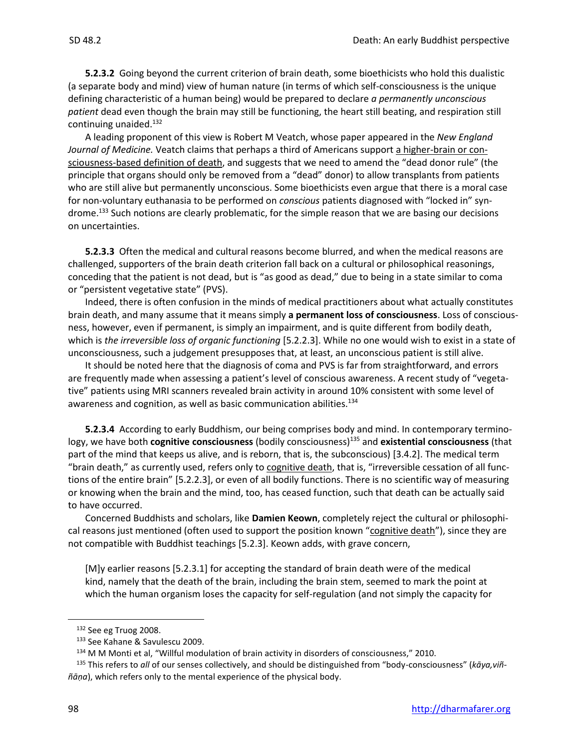**5.2.3.2** Going beyond the current criterion of brain death, some bioethicists who hold this dualistic (a separate body and mind) view of human nature (in terms of which self-consciousness is the unique defining characteristic of a human being) would be prepared to declare *a permanently unconscious patient* dead even though the brain may still be functioning, the heart still beating, and respiration still continuing unaided.<sup>132</sup>

A leading proponent of this view is Robert M Veatch, whose paper appeared in the *New England*  Journal of Medicine. Veatch claims that perhaps a third of Americans support a higher-brain or consciousness-based definition of death, and suggests that we need to amend the "dead donor rule" (the principle that organs should only be removed from a "dead" donor) to allow transplants from patients who are still alive but permanently unconscious. Some bioethicists even argue that there is a moral case for non-voluntary euthanasia to be performed on *conscious* patients diagnosed with "locked in" syndrome.<sup>133</sup> Such notions are clearly problematic, for the simple reason that we are basing our decisions on uncertainties.

**5.2.3.3** Often the medical and cultural reasons become blurred, and when the medical reasons are challenged, supporters of the brain death criterion fall back on a cultural or philosophical reasonings, conceding that the patient is not dead, but is "as good as dead," due to being in a state similar to coma or "persistent vegetative state" (PVS).

Indeed, there is often confusion in the minds of medical practitioners about what actually constitutes brain death, and many assume that it means simply **a permanent loss of consciousness**. Loss of consciousness, however, even if permanent, is simply an impairment, and is quite different from bodily death, which is *the irreversible loss of organic functioning* [5.2.2.3]. While no one would wish to exist in a state of unconsciousness, such a judgement presupposes that, at least, an unconscious patient is still alive.

It should be noted here that the diagnosis of coma and PVS is far from straightforward, and errors are frequently made when assessing a patient's level of conscious awareness. A recent study of "vegetative" patients using MRI scanners revealed brain activity in around 10% consistent with some level of awareness and cognition, as well as basic communication abilities.<sup>134</sup>

**5.2.3.4** According to early Buddhism, our being comprises body and mind. In contemporary terminology, we have both **cognitive consciousness** (bodily consciousness)<sup>135</sup> and **existential consciousness** (that part of the mind that keeps us alive, and is reborn, that is, the subconscious) [3.4.2]. The medical term "brain death," as currently used, refers only to cognitive death, that is, "irreversible cessation of all functions of the entire brain" [5.2.2.3], or even of all bodily functions. There is no scientific way of measuring or knowing when the brain and the mind, too, has ceased function, such that death can be actually said to have occurred.

Concerned Buddhists and scholars, like **Damien Keown**, completely reject the cultural or philosophical reasons just mentioned (often used to support the position known "cognitive death"), since they are not compatible with Buddhist teachings [5.2.3]. Keown adds, with grave concern,

[M]y earlier reasons [5.2.3.1] for accepting the standard of brain death were of the medical kind, namely that the death of the brain, including the brain stem, seemed to mark the point at which the human organism loses the capacity for self-regulation (and not simply the capacity for

<sup>132</sup> See eg Truog 2008.

<sup>133</sup> See Kahane & Savulescu 2009.

<sup>134</sup> M M Monti et al, "Willful modulation of brain activity in disorders of consciousness," 2010.

<sup>135</sup> This refers to *all* of our senses collectively, and should be distinguished from "body-consciousness" (*kāya,viññāṇa*), which refers only to the mental experience of the physical body.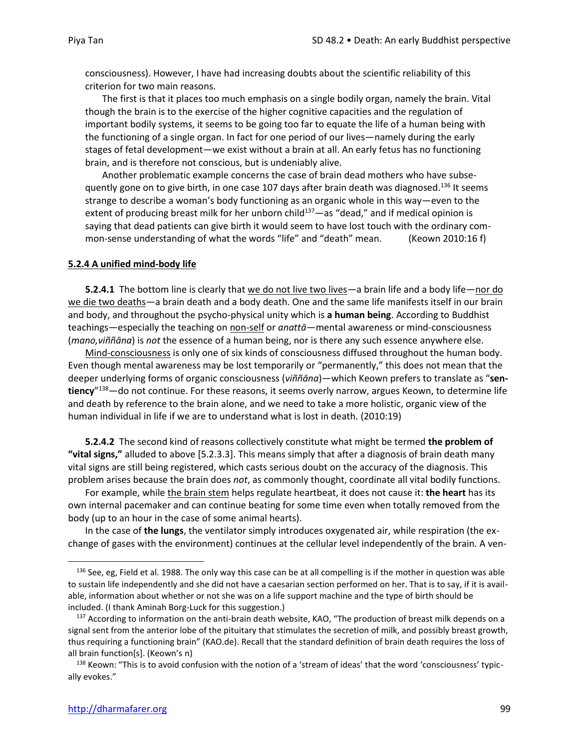consciousness). However, I have had increasing doubts about the scientific reliability of this criterion for two main reasons.

The first is that it places too much emphasis on a single bodily organ, namely the brain. Vital though the brain is to the exercise of the higher cognitive capacities and the regulation of important bodily systems, it seems to be going too far to equate the life of a human being with the functioning of a single organ. In fact for one period of our lives—namely during the early stages of fetal development—we exist without a brain at all. An early fetus has no functioning brain, and is therefore not conscious, but is undeniably alive.

Another problematic example concerns the case of brain dead mothers who have subsequently gone on to give birth, in one case 107 days after brain death was diagnosed.<sup>136</sup> It seems strange to describe a woman's body functioning as an organic whole in this way—even to the extent of producing breast milk for her unborn child $137$ —as "dead," and if medical opinion is saying that dead patients can give birth it would seem to have lost touch with the ordinary common-sense understanding of what the words "life" and "death" mean. (Keown 2010:16 f)

#### **5.2.4 A unified mind-body life**

**5.2.4.1** The bottom line is clearly that we do not live two lives—a brain life and a body life—nor do we die two deaths—a brain death and a body death. One and the same life manifests itself in our brain and body, and throughout the psycho-physical unity which is **a human being**. According to Buddhist teachings—especially the teaching on non-self or *anattā*—mental awareness or mind-consciousness (*mano,viññāna*) is *not* the essence of a human being, nor is there any such essence anywhere else.

Mind-consciousness is only one of six kinds of consciousness diffused throughout the human body. Even though mental awareness may be lost temporarily or "permanently," this does not mean that the deeper underlying forms of organic consciousness (*viññāna*)—which Keown prefers to translate as "**sentiency**" <sup>138</sup>—do not continue. For these reasons, it seems overly narrow, argues Keown, to determine life and death by reference to the brain alone, and we need to take a more holistic, organic view of the human individual in life if we are to understand what is lost in death. (2010:19)

**5.2.4.2** The second kind of reasons collectively constitute what might be termed **the problem of "vital signs,"** alluded to above [5.2.3.3]. This means simply that after a diagnosis of brain death many vital signs are still being registered, which casts serious doubt on the accuracy of the diagnosis. This problem arises because the brain does *not*, as commonly thought, coordinate all vital bodily functions.

For example, while the brain stem helps regulate heartbeat, it does not cause it: **the heart** has its own internal pacemaker and can continue beating for some time even when totally removed from the body (up to an hour in the case of some animal hearts).

In the case of **the lungs**, the ventilator simply introduces oxygenated air, while respiration (the exchange of gases with the environment) continues at the cellular level independently of the brain. A ven-

<sup>136</sup> See, eg, Field et al. 1988. The only way this case can be at all compelling is if the mother in question was able to sustain life independently and she did not have a caesarian section performed on her. That is to say, if it is available, information about whether or not she was on a life support machine and the type of birth should be included. (I thank Aminah Borg-Luck for this suggestion.)

<sup>&</sup>lt;sup>137</sup> According to information on the anti-brain death website, KAO, "The production of breast milk depends on a signal sent from the anterior lobe of the pituitary that stimulates the secretion of milk, and possibly breast growth, thus requiring a functioning brain" (KAO.de). Recall that the standard definition of brain death requires the loss of all brain function[s]. (Keown's n)

<sup>&</sup>lt;sup>138</sup> Keown: "This is to avoid confusion with the notion of a 'stream of ideas' that the word 'consciousness' typically evokes."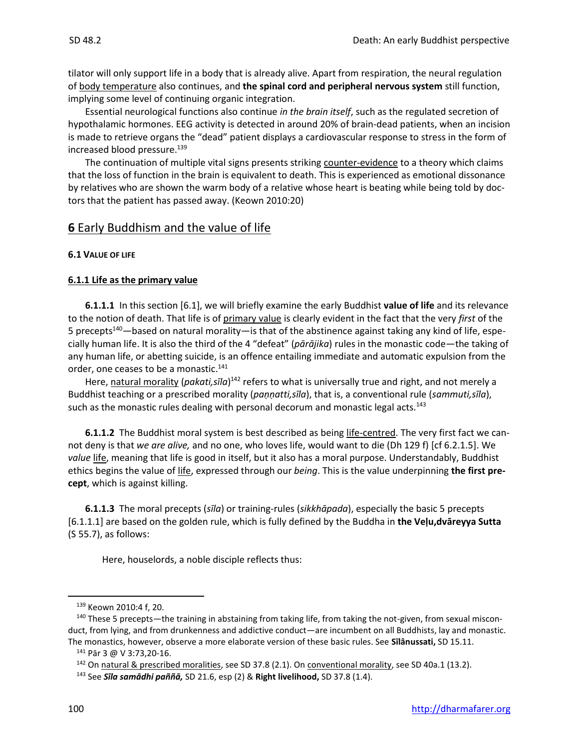tilator will only support life in a body that is already alive. Apart from respiration, the neural regulation of body temperature also continues, and **the spinal cord and peripheral nervous system** still function, implying some level of continuing organic integration.

Essential neurological functions also continue *in the brain itself*, such as the regulated secretion of hypothalamic hormones. EEG activity is detected in around 20% of brain-dead patients, when an incision is made to retrieve organs the "dead" patient displays a cardiovascular response to stress in the form of increased blood pressure.<sup>139</sup>

The continuation of multiple vital signs presents striking counter-evidence to a theory which claims that the loss of function in the brain is equivalent to death. This is experienced as emotional dissonance by relatives who are shown the warm body of a relative whose heart is beating while being told by doctors that the patient has passed away. (Keown 2010:20)

## **6** Early Buddhism and the value of life

## **6.1 VALUE OF LIFE**

## **6.1.1 Life as the primary value**

**6.1.1.1** In this section [6.1], we will briefly examine the early Buddhist **value of life** and its relevance to the notion of death. That life is of primary value is clearly evident in the fact that the very *first* of the 5 precepts<sup>140</sup>—based on natural morality—is that of the abstinence against taking any kind of life, especially human life. It is also the third of the 4 "defeat" (*pārājika*) rules in the monastic code—the taking of any human life, or abetting suicide, is an offence entailing immediate and automatic expulsion from the order, one ceases to be a monastic.<sup>141</sup>

Here, natural morality (pakati,sīla)<sup>142</sup> refers to what is universally true and right, and not merely a Buddhist teaching or a prescribed morality (*paṇṇatti,sīla*), that is, a conventional rule (*sammuti,sīla*), such as the monastic rules dealing with personal decorum and monastic legal acts.<sup>143</sup>

**6.1.1.2** The Buddhist moral system is best described as being life-centred. The very first fact we cannot deny is that *we are alive,* and no one, who loves life, would want to die (Dh 129 f) [cf 6.2.1.5]. We *value* life, meaning that life is good in itself, but it also has a moral purpose. Understandably, Buddhist ethics begins the value of life, expressed through our *being*. This is the value underpinning **the first precept**, which is against killing.

**6.1.1.3** The moral precepts (*sīla*) or training-rules (*sikkhāpada*), especially the basic 5 precepts [6.1.1.1] are based on the golden rule, which is fully defined by the Buddha in **the Veḷu,dvāreyya Sutta**  (S 55.7), as follows:

Here, houselords, a noble disciple reflects thus:

<sup>139</sup> Keown 2010:4 f, 20.

<sup>&</sup>lt;sup>140</sup> These 5 precepts—the training in abstaining from taking life, from taking the not-given, from sexual misconduct, from lying, and from drunkenness and addictive conduct—are incumbent on all Buddhists, lay and monastic. The monastics, however, observe a more elaborate version of these basic rules. See **Sīlânussati,** SD 15.11.

<sup>141</sup> Pār 3 @ V 3:73,20-16.

<sup>&</sup>lt;sup>142</sup> On natural & prescribed moralities, see SD 37.8 (2.1). On conventional morality, see SD 40a.1 (13.2).

<sup>143</sup> See *Sīla samādhi paññā,* SD 21.6, esp (2) & **Right livelihood,** SD 37.8 (1.4).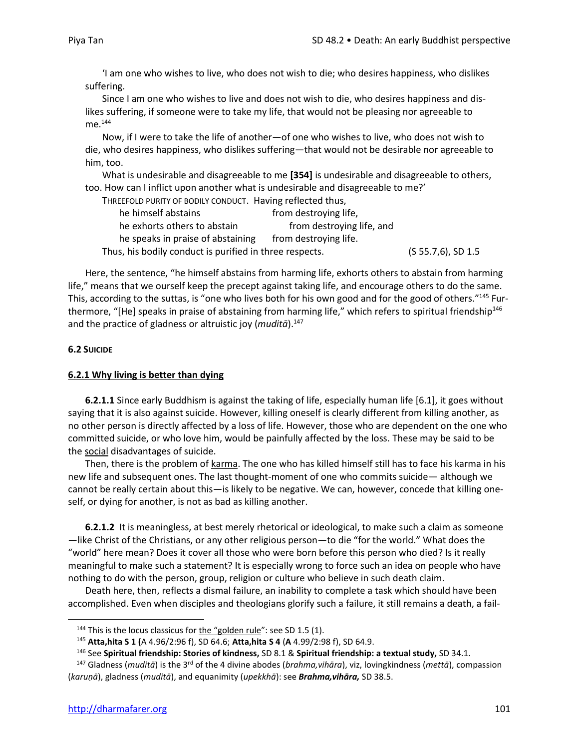'I am one who wishes to live, who does not wish to die; who desires happiness, who dislikes suffering.

Since I am one who wishes to live and does not wish to die, who desires happiness and dislikes suffering, if someone were to take my life, that would not be pleasing nor agreeable to  $me.<sup>144</sup>$ 

Now, if I were to take the life of another—of one who wishes to live, who does not wish to die, who desires happiness, who dislikes suffering—that would not be desirable nor agreeable to him, too.

What is undesirable and disagreeable to me **[354]** is undesirable and disagreeable to others, too. How can I inflict upon another what is undesirable and disagreeable to me?'

| THREEFOLD PURITY OF BODILY CONDUCT. Having reflected thus, |                           |                    |
|------------------------------------------------------------|---------------------------|--------------------|
| he himself abstains                                        | from destroying life,     |                    |
| he exhorts others to abstain                               | from destroying life, and |                    |
| he speaks in praise of abstaining                          | from destroying life.     |                    |
| Thus, his bodily conduct is purified in three respects.    |                           | (S 55.7,6), SD 1.5 |

Here, the sentence, "he himself abstains from harming life, exhorts others to abstain from harming life," means that we ourself keep the precept against taking life, and encourage others to do the same. This, according to the suttas, is "one who lives both for his own good and for the good of others."<sup>145</sup> Furthermore, "[He] speaks in praise of abstaining from harming life," which refers to spiritual friendship<sup>146</sup> and the practice of gladness or altruistic joy (*muditā*).<sup>147</sup>

#### **6.2 SUICIDE**

#### **6.2.1 Why living is better than dying**

**6.2.1.1** Since early Buddhism is against the taking of life, especially human life [6.1], it goes without saying that it is also against suicide. However, killing oneself is clearly different from killing another, as no other person is directly affected by a loss of life. However, those who are dependent on the one who committed suicide, or who love him, would be painfully affected by the loss. These may be said to be the social disadvantages of suicide.

Then, there is the problem of karma. The one who has killed himself still has to face his karma in his new life and subsequent ones. The last thought-moment of one who commits suicide— although we cannot be really certain about this—is likely to be negative. We can, however, concede that killing oneself, or dying for another, is not as bad as killing another.

**6.2.1.2** It is meaningless, at best merely rhetorical or ideological, to make such a claim as someone —like Christ of the Christians, or any other religious person—to die "for the world." What does the "world" here mean? Does it cover all those who were born before this person who died? Is it really meaningful to make such a statement? It is especially wrong to force such an idea on people who have nothing to do with the person, group, religion or culture who believe in such death claim.

Death here, then, reflects a dismal failure, an inability to complete a task which should have been accomplished. Even when disciples and theologians glorify such a failure, it still remains a death, a fail-

<sup>&</sup>lt;sup>144</sup> This is the locus classicus for the "golden rule": see SD 1.5 (1).

<sup>145</sup> **Atta,hita S 1 (**A 4.96/2:96 f), SD 64.6; **Atta,hita S 4** (**A** 4.99/2:98 f), SD 64.9.

<sup>146</sup> See **Spiritual friendship: Stories of kindness,** SD 8.1 & **Spiritual friendship: a textual study,** SD 34.1.

<sup>147</sup> Gladness (*muditā*) is the 3rd of the 4 divine abodes (*brahma,vihāra*), viz, lovingkindness (*mettā*), compassion (*karuṇā*), gladness (*muditā*), and equanimity (*upekkhā*): see *Brahma,vihāra,* SD 38.5.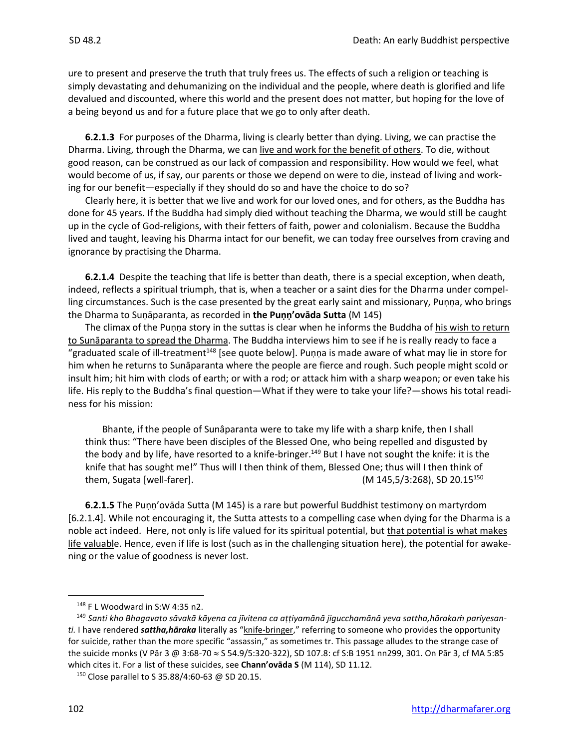ure to present and preserve the truth that truly frees us. The effects of such a religion or teaching is simply devastating and dehumanizing on the individual and the people, where death is glorified and life devalued and discounted, where this world and the present does not matter, but hoping for the love of a being beyond us and for a future place that we go to only after death.

**6.2.1.3** For purposes of the Dharma, living is clearly better than dying. Living, we can practise the Dharma. Living, through the Dharma, we can live and work for the benefit of others. To die, without good reason, can be construed as our lack of compassion and responsibility. How would we feel, what would become of us, if say, our parents or those we depend on were to die, instead of living and working for our benefit—especially if they should do so and have the choice to do so?

Clearly here, it is better that we live and work for our loved ones, and for others, as the Buddha has done for 45 years. If the Buddha had simply died without teaching the Dharma, we would still be caught up in the cycle of God-religions, with their fetters of faith, power and colonialism. Because the Buddha lived and taught, leaving his Dharma intact for our benefit, we can today free ourselves from craving and ignorance by practising the Dharma.

**6.2.1.4** Despite the teaching that life is better than death, there is a special exception, when death, indeed, reflects a spiritual triumph, that is, when a teacher or a saint dies for the Dharma under compelling circumstances. Such is the case presented by the great early saint and missionary, Puṇṇa, who brings the Dharma to Suṇāparanta, as recorded in **the Puṇṇ'ovāda Sutta** (M 145)

The climax of the Puṇṇa story in the suttas is clear when he informs the Buddha of his wish to return to Sunāparanta to spread the Dharma. The Buddha interviews him to see if he is really ready to face a "graduated scale of ill-treatment<sup>148</sup> [see quote below]. Puṇṇa is made aware of what may lie in store for him when he returns to Sunāparanta where the people are fierce and rough. Such people might scold or insult him; hit him with clods of earth; or with a rod; or attack him with a sharp weapon; or even take his life. His reply to the Buddha's final question—What if they were to take your life?—shows his total readiness for his mission:

Bhante, if the people of Sunâparanta were to take my life with a sharp knife, then I shall think thus: "There have been disciples of the Blessed One, who being repelled and disgusted by the body and by life, have resorted to a knife-bringer.<sup>149</sup> But I have not sought the knife: it is the knife that has sought me!" Thus will I then think of them, Blessed One; thus will I then think of them, Sugata [well-farer]. (M 145,5/3:268), SD 20.15<sup>150</sup>

**6.2.1.5** The Puṇṇ'ovāda Sutta (M 145) is a rare but powerful Buddhist testimony on martyrdom [6.2.1.4]. While not encouraging it, the Sutta attests to a compelling case when dying for the Dharma is a noble act indeed. Here, not only is life valued for its spiritual potential, but that potential is what makes life valuable. Hence, even if life is lost (such as in the challenging situation here), the potential for awakening or the value of goodness is never lost.

 $148$  F L Woodward in S:W 4:35 n2.

<sup>149</sup> *Santi kho Bhagavato sāvakā kāyena ca jīvitena ca aṭṭiyamānā jigucchamānā yeva sattha,hārakaṁ pariyesanti.* I have rendered *sattha,hāraka* literally as "knife-bringer," referring to someone who provides the opportunity for suicide, rather than the more specific "assassin," as sometimes tr. This passage alludes to the strange case of the suicide monks (V Pār 3 @ 3:68-70 ≈ S 54.9/5:320-322), SD 107.8: cf S:B 1951 nn299, 301. On Pār 3, cf MA 5:85 which cites it. For a list of these suicides, see **Chann'ovāda S** (M 114), SD 11.12.

<sup>150</sup> Close parallel to S 35.88/4:60-63 @ SD 20.15.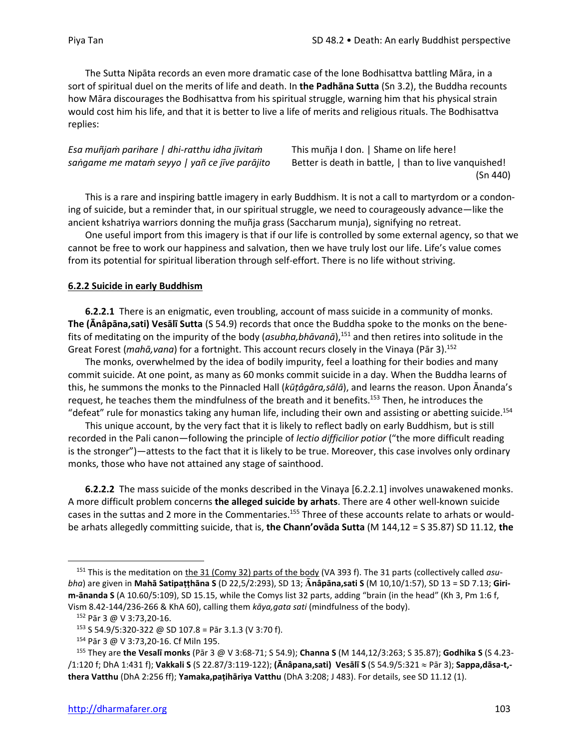The Sutta Nipāta records an even more dramatic case of the lone Bodhisattva battling Māra, in a sort of spiritual duel on the merits of life and death. In **the Padhāna Sutta** (Sn 3.2), the Buddha recounts how Māra discourages the Bodhisattva from his spiritual struggle, warning him that his physical strain would cost him his life, and that it is better to live a life of merits and religious rituals. The Bodhisattva replies:

# *Esa muñjaṁ parihare | dhi-ratthu idha jīvitaṁ* This muñja I don. | Shame on life here!

*saṅgame me mataṁ seyyo | yañ ce jīve parājito* Better is death in battle, | than to live vanquished! (Sn 440)

This is a rare and inspiring battle imagery in early Buddhism. It is not a call to martyrdom or a condoning of suicide, but a reminder that, in our spiritual struggle, we need to courageously advance—like the ancient kshatriya warriors donning the muñja grass (Saccharum munja), signifying no retreat.

One useful import from this imagery is that if our life is controlled by some external agency, so that we cannot be free to work our happiness and salvation, then we have truly lost our life. Life's value comes from its potential for spiritual liberation through self-effort. There is no life without striving.

## **6.2.2 Suicide in early Buddhism**

**6.2.2.1** There is an enigmatic, even troubling, account of mass suicide in a community of monks. **The (Ānâpāna,sati) Vesālī Sutta** (S 54.9) records that once the Buddha spoke to the monks on the benefits of meditating on the impurity of the body (*asubha,bhāvanā*), <sup>151</sup> and then retires into solitude in the Great Forest (*mahā,vana*) for a fortnight. This account recurs closely in the Vinaya (Pār 3).<sup>152</sup>

The monks, overwhelmed by the idea of bodily impurity, feel a loathing for their bodies and many commit suicide. At one point, as many as 60 monks commit suicide in a day. When the Buddha learns of this, he summons the monks to the Pinnacled Hall (*kūṭâgāra,sālā*), and learns the reason. Upon Ānanda's request, he teaches them the mindfulness of the breath and it benefits.<sup>153</sup> Then, he introduces the "defeat" rule for monastics taking any human life, including their own and assisting or abetting suicide.<sup>154</sup>

This unique account, by the very fact that it is likely to reflect badly on early Buddhism, but is still recorded in the Pali canon—following the principle of *lectio difficilior potior* ("the more difficult reading is the stronger")—attests to the fact that it is likely to be true. Moreover, this case involves only ordinary monks, those who have not attained any stage of sainthood.

**6.2.2.2** The mass suicide of the monks described in the Vinaya [6.2.2.1] involves unawakened monks. A more difficult problem concerns **the alleged suicide by arhats**. There are 4 other well-known suicide cases in the suttas and 2 more in the Commentaries.<sup>155</sup> Three of these accounts relate to arhats or wouldbe arhats allegedly committing suicide, that is, **the Chann'ovāda Sutta** (M 144,12 = S 35.87) SD 11.12, **the**

<sup>&</sup>lt;sup>151</sup> This is the meditation on the 31 (Comy 32) parts of the body (VA 393 f). The 31 parts (collectively called *asubha*) are given in **Mahā Satipaṭṭhāna S** (D 22,5/2:293), SD 13; **nâpāna,sati S** (M 10,10/1:57), SD 13 = SD 7.13; **Girim-ānanda S** (A 10.60/5:109), SD 15.15, while the Comys list 32 parts, adding "brain (in the head" (Kh 3, Pm 1:6 f, Vism 8.42-144/236-266 & KhA 60), calling them *kāya,gata sati* (mindfulness of the body).

<sup>152</sup> Pār 3 @ V 3:73,20-16.

 $153$  S 54.9/5:320-322 @ SD 107.8 = Pār 3.1.3 (V 3:70 f).

<sup>154</sup> Pār 3 @ V 3:73,20-16. Cf Miln 195.

<sup>155</sup> They are **the Vesalī monks** (Pār 3 @ V 3:68-71; S 54.9); **Channa S** (M 144,12/3:263; S 35.87); **Godhika S** (S 4.23- /1:120 f; DhA 1:431 f); **Vakkali S** (S 22.87/3:119-122); **(Ānâpana,sati) Vesālī S** (S 54.9/5:321 Pār 3); **Sappa,dāsa-t, thera Vatthu** (DhA 2:256 ff); **Yamaka,paṭihāriya Vatthu** (DhA 3:208; J 483). For details, see SD 11.12 (1).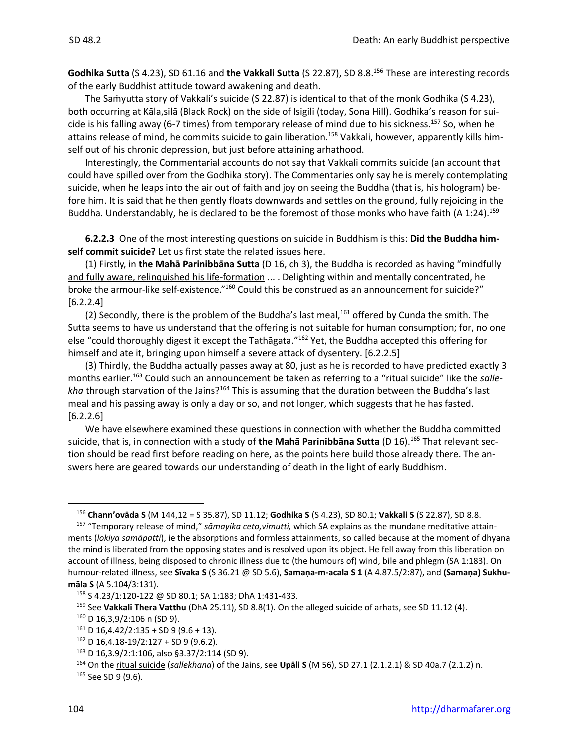**Godhika Sutta** (S 4.23), SD 61.16 and **the Vakkali Sutta** (S 22.87), SD 8.8. <sup>156</sup> These are interesting records of the early Buddhist attitude toward awakening and death.

The Saṁyutta story of Vakkali's suicide (S 22.87) is identical to that of the monk Godhika (S 4.23), both occurring at Kāla,silā (Black Rock) on the side of Isigili (today, Sona Hill). Godhika's reason for suicide is his falling away (6-7 times) from temporary release of mind due to his sickness.<sup>157</sup> So, when he attains release of mind, he commits suicide to gain liberation.<sup>158</sup> Vakkali, however, apparently kills himself out of his chronic depression, but just before attaining arhathood.

Interestingly, the Commentarial accounts do not say that Vakkali commits suicide (an account that could have spilled over from the Godhika story). The Commentaries only say he is merely contemplating suicide, when he leaps into the air out of faith and joy on seeing the Buddha (that is, his hologram) before him. It is said that he then gently floats downwards and settles on the ground, fully rejoicing in the Buddha. Understandably, he is declared to be the foremost of those monks who have faith (A 1:24).<sup>159</sup>

**6.2.2.3** One of the most interesting questions on suicide in Buddhism is this: **Did the Buddha himself commit suicide?** Let us first state the related issues here.

(1) Firstly, in **the Mahā Parinibbāna Sutta** (D 16, ch 3), the Buddha is recorded as having "mindfully and fully aware, relinquished his life-formation ... . Delighting within and mentally concentrated, he broke the armour-like self-existence."<sup>160</sup> Could this be construed as an announcement for suicide?"  $[6.2.2.4]$ 

(2) Secondly, there is the problem of the Buddha's last meal,<sup>161</sup> offered by Cunda the smith. The Sutta seems to have us understand that the offering is not suitable for human consumption; for, no one else "could thoroughly digest it except the Tathāgata."<sup>162</sup> Yet, the Buddha accepted this offering for himself and ate it, bringing upon himself a severe attack of dysentery. [6.2.2.5]

(3) Thirdly, the Buddha actually passes away at 80, just as he is recorded to have predicted exactly 3 months earlier.<sup>163</sup> Could such an announcement be taken as referring to a "ritual suicide" like the *sallekha* through starvation of the Jains?<sup>164</sup> This is assuming that the duration between the Buddha's last meal and his passing away is only a day or so, and not longer, which suggests that he has fasted.  $[6.2.2.6]$ 

We have elsewhere examined these questions in connection with whether the Buddha committed suicide, that is, in connection with a study of **the Mahā Parinibbāna Sutta** (D 16). <sup>165</sup> That relevant section should be read first before reading on here, as the points here build those already there. The answers here are geared towards our understanding of death in the light of early Buddhism.

<sup>156</sup> **Chann'ovāda S** (M 144,12 = S 35.87), SD 11.12; **Godhika S** (S 4.23), SD 80.1; **Vakkali S** (S 22.87), SD 8.8.

<sup>157</sup> "Temporary release of mind," *sāmayika ceto,vimutti,* which SA explains as the mundane meditative attainments (*lokiya samāpatti*), ie the absorptions and formless attainments, so called because at the moment of dhyana the mind is liberated from the opposing states and is resolved upon its object. He fell away from this liberation on account of illness, being disposed to chronic illness due to (the humours of) wind, bile and phlegm (SA 1:183). On humour-related illness, see **Sīvaka S** (S 36.21 @ SD 5.6), **Samaṇa-m-acala S 1** (A 4.87.5/2:87), and **(Samaṇa) Sukhumāla S** (A 5.104/3:131).

<sup>158</sup> S 4.23/1:120-122 @ SD 80.1; SA 1:183; DhA 1:431-433.

<sup>159</sup> See **Vakkali Thera Vatthu** (DhA 25.11), SD 8.8(1). On the alleged suicide of arhats, see SD 11.12 (4).

<sup>160</sup> D 16,3,9/2:106 n (SD 9).

 $161$  D 16,4.42/2:135 + SD 9 (9.6 + 13).

 $162$  D 16,4.18-19/2:127 + SD 9 (9.6.2).

<sup>163</sup> D 16,3.9/2:1:106, also §3.37/2:114 (SD 9).

<sup>164</sup> On the ritual suicide (*sallekhana*) of the Jains, see **Upāli S** (M 56), SD 27.1 (2.1.2.1) & SD 40a.7 (2.1.2) n. <sup>165</sup> See SD 9 (9.6).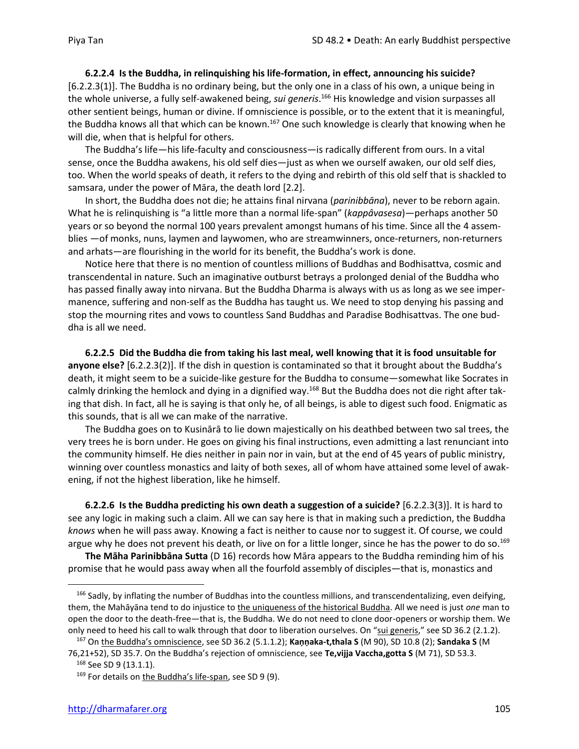**6.2.2.4 Is the Buddha, in relinquishing his life-formation, in effect, announcing his suicide?** [6.2.2.3(1)]. The Buddha is no ordinary being, but the only one in a class of his own, a unique being in the whole universe, a fully self-awakened being, *sui generis*. <sup>166</sup> His knowledge and vision surpasses all other sentient beings, human or divine. If omniscience is possible, or to the extent that it is meaningful, the Buddha knows all that which can be known.<sup>167</sup> One such knowledge is clearly that knowing when he will die, when that is helpful for others.

The Buddha's life—his life-faculty and consciousness—is radically different from ours. In a vital sense, once the Buddha awakens, his old self dies—just as when we ourself awaken, our old self dies, too. When the world speaks of death, it refers to the dying and rebirth of this old self that is shackled to samsara, under the power of Māra, the death lord [2.2].

In short, the Buddha does not die; he attains final nirvana (*parinibbāna*), never to be reborn again. What he is relinquishing is "a little more than a normal life-span" (*kappâvasesa*)—perhaps another 50 years or so beyond the normal 100 years prevalent amongst humans of his time. Since all the 4 assemblies —of monks, nuns, laymen and laywomen, who are streamwinners, once-returners, non-returners and arhats—are flourishing in the world for its benefit, the Buddha's work is done.

Notice here that there is no mention of countless millions of Buddhas and Bodhisattva, cosmic and transcendental in nature. Such an imaginative outburst betrays a prolonged denial of the Buddha who has passed finally away into nirvana. But the Buddha Dharma is always with us as long as we see impermanence, suffering and non-self as the Buddha has taught us. We need to stop denying his passing and stop the mourning rites and vows to countless Sand Buddhas and Paradise Bodhisattvas. The one buddha is all we need.

**6.2.2.5 Did the Buddha die from taking his last meal, well knowing that it is food unsuitable for anyone else?** [6.2.2.3(2)]. If the dish in question is contaminated so that it brought about the Buddha's death, it might seem to be a suicide-like gesture for the Buddha to consume—somewhat like Socrates in calmly drinking the hemlock and dying in a dignified way.<sup>168</sup> But the Buddha does not die right after taking that dish. In fact, all he is saying is that only he, of all beings, is able to digest such food. Enigmatic as this sounds, that is all we can make of the narrative.

The Buddha goes on to Kusinārā to lie down majestically on his deathbed between two sal trees, the very trees he is born under. He goes on giving his final instructions, even admitting a last renunciant into the community himself. He dies neither in pain nor in vain, but at the end of 45 years of public ministry, winning over countless monastics and laity of both sexes, all of whom have attained some level of awakening, if not the highest liberation, like he himself.

**6.2.2.6 Is the Buddha predicting his own death a suggestion of a suicide?** [6.2.2.3(3)]. It is hard to see any logic in making such a claim. All we can say here is that in making such a prediction, the Buddha *knows* when he will pass away. Knowing a fact is neither to cause nor to suggest it. Of course, we could argue why he does not prevent his death, or live on for a little longer, since he has the power to do so.<sup>169</sup>

**The Māha Parinibbāna Sutta** (D 16) records how Māra appears to the Buddha reminding him of his promise that he would pass away when all the fourfold assembly of disciples—that is, monastics and

<sup>&</sup>lt;sup>166</sup> Sadly, by inflating the number of Buddhas into the countless millions, and transcendentalizing, even deifying, them, the Mahāyāna tend to do injustice to the uniqueness of the historical Buddha. All we need is just *one* man to open the door to the death-free—that is, the Buddha. We do not need to clone door-openers or worship them. We only need to heed his call to walk through that door to liberation ourselves. On "sui generis," see SD 36.2 (2.1.2).

<sup>167</sup> On the Buddha's omniscience, see SD 36.2 (5.1.1.2); **Kaṇṇaka-t,thala S** (M 90), SD 10.8 (2); **Sandaka S** (M 76,21+52), SD 35.7. On the Buddha's rejection of omniscience, see **Te,vijja Vaccha,gotta S** (M 71), SD 53.3. <sup>168</sup> See SD 9 (13.1.1).

<sup>169</sup> For details on the Buddha's life-span, see SD 9 (9).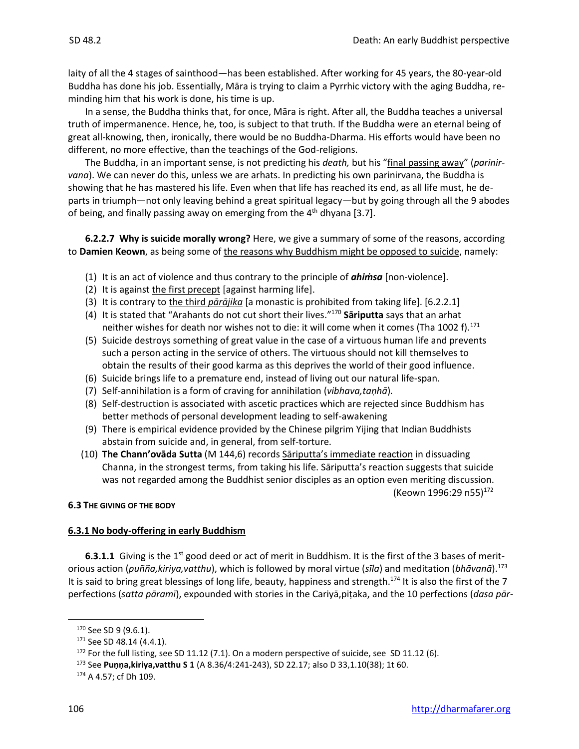laity of all the 4 stages of sainthood—has been established. After working for 45 years, the 80-year-old Buddha has done his job. Essentially, Māra is trying to claim a Pyrrhic victory with the aging Buddha, reminding him that his work is done, his time is up.

In a sense, the Buddha thinks that, for once, Māra is right. After all, the Buddha teaches a universal truth of impermanence. Hence, he, too, is subject to that truth. If the Buddha were an eternal being of great all-knowing, then, ironically, there would be no Buddha-Dharma. His efforts would have been no different, no more effective, than the teachings of the God-religions.

The Buddha, in an important sense, is not predicting his *death,* but his "final passing away" (*parinirvana*). We can never do this, unless we are arhats. In predicting his own parinirvana, the Buddha is showing that he has mastered his life. Even when that life has reached its end, as all life must, he departs in triumph—not only leaving behind a great spiritual legacy—but by going through all the 9 abodes of being, and finally passing away on emerging from the  $4<sup>th</sup>$  dhyana [3.7].

**6.2.2.7 Why is suicide morally wrong?** Here, we give a summary of some of the reasons, according to **Damien Keown**, as being some of the reasons why Buddhism might be opposed to suicide, namely:

- (1) It is an act of violence and thus contrary to the principle of *ahiṁsa* [non-violence].
- (2) It is against the first precept [against harming life].
- (3) It is contrary to the third *pārājika* [a monastic is prohibited from taking life]. [6.2.2.1]
- (4) It is stated that "Arahants do not cut short their lives." <sup>170</sup> **Sāriputta** says that an arhat neither wishes for death nor wishes not to die: it will come when it comes (Tha 1002 f).<sup>171</sup>
- (5) Suicide destroys something of great value in the case of a virtuous human life and prevents such a person acting in the service of others. The virtuous should not kill themselves to obtain the results of their good karma as this deprives the world of their good influence.
- (6) Suicide brings life to a premature end, instead of living out our natural life-span.
- (7) Self-annihilation is a form of craving for annihilation (*vibhava,taṇhā*)*.*
- (8) Self-destruction is associated with ascetic practices which are rejected since Buddhism has better methods of personal development leading to self-awakening
- (9) There is empirical evidence provided by the Chinese pilgrim Yijing that Indian Buddhists abstain from suicide and, in general, from self-torture.
- (10) **The Chann'ovāda Sutta** (M 144,6) records Sāriputta's immediate reaction in dissuading Channa, in the strongest terms, from taking his life. Sāriputta's reaction suggests that suicide was not regarded among the Buddhist senior disciples as an option even meriting discussion. (Keown 1996:29 n55)<sup>172</sup>

#### **6.3 THE GIVING OF THE BODY**

#### **6.3.1 No body-offering in early Buddhism**

**6.3.1.1** Giving is the 1<sup>st</sup> good deed or act of merit in Buddhism. It is the first of the 3 bases of meritorious action (*puñña,kiriya,vatthu*), which is followed by moral virtue (*sīla*) and meditation (*bhāvanā*).<sup>173</sup> It is said to bring great blessings of long life, beauty, happiness and strength.<sup>174</sup> It is also the first of the 7 perfections (*satta pāramī*), expounded with stories in the Cariyā,piṭaka, and the 10 perfections (*dasa pār-*

<sup>170</sup> See SD 9 (9.6.1).

<sup>&</sup>lt;sup>171</sup> See SD 48.14 (4.4.1).

<sup>&</sup>lt;sup>172</sup> For the full listing, see SD 11.12 (7.1). On a modern perspective of suicide, see SD 11.12 (6).

<sup>173</sup> See **Puṇṇa,kiriya,vatthu S 1** (A 8.36/4:241-243), SD 22.17; also D 33,1.10(38); 1t 60.

<sup>174</sup> A 4.57; cf Dh 109.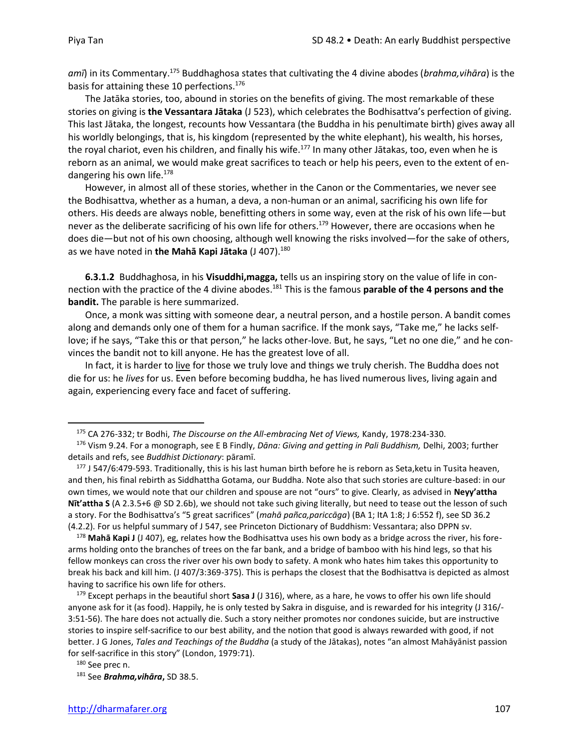*amī*) in its Commentary. <sup>175</sup> Buddhaghosa states that cultivating the 4 divine abodes (*brahma,vihāra*) is the basis for attaining these 10 perfections.<sup>176</sup>

The Jatāka stories, too, abound in stories on the benefits of giving. The most remarkable of these stories on giving is **the Vessantara Jātaka** (J 523), which celebrates the Bodhisattva's perfection of giving. This last Jātaka, the longest, recounts how Vessantara (the Buddha in his penultimate birth) gives away all his worldly belongings, that is, his kingdom (represented by the white elephant), his wealth, his horses, the royal chariot, even his children, and finally his wife.<sup>177</sup> In many other Jātakas, too, even when he is reborn as an animal, we would make great sacrifices to teach or help his peers, even to the extent of endangering his own life.<sup>178</sup>

However, in almost all of these stories, whether in the Canon or the Commentaries, we never see the Bodhisattva, whether as a human, a deva, a non-human or an animal, sacrificing his own life for others. His deeds are always noble, benefitting others in some way, even at the risk of his own life—but never as the deliberate sacrificing of his own life for others.<sup>179</sup> However, there are occasions when he does die—but not of his own choosing, although well knowing the risks involved—for the sake of others, as we have noted in **the Mahā Kapi Jātaka** (J 407).<sup>180</sup>

**6.3.1.2** Buddhaghosa, in his **Visuddhi,magga,** tells us an inspiring story on the value of life in connection with the practice of the 4 divine abodes. <sup>181</sup> This is the famous **parable of the 4 persons and the bandit.** The parable is here summarized.

Once, a monk was sitting with someone dear, a neutral person, and a hostile person. A bandit comes along and demands only one of them for a human sacrifice. If the monk says, "Take me," he lacks selflove; if he says, "Take this or that person," he lacks other-love. But, he says, "Let no one die," and he convinces the bandit not to kill anyone. He has the greatest love of all.

In fact, it is harder to live for those we truly love and things we truly cherish. The Buddha does not die for us: he *lives* for us. Even before becoming buddha, he has lived numerous lives, living again and again, experiencing every face and facet of suffering.

<sup>175</sup> CA 276-332; tr Bodhi, *The Discourse on the All-embracing Net of Views,* Kandy, 1978:234-330.

<sup>176</sup> Vism 9.24. For a monograph, see E B Findly, *Dāna: Giving and getting in Pali Buddhism,* Delhi, 2003; further details and refs, see *Buddhist Dictionary*: pāramī.

<sup>&</sup>lt;sup>177</sup> J 547/6:479-593. Traditionally, this is his last human birth before he is reborn as Seta, ketu in Tusita heaven, and then, his final rebirth as Siddhattha Gotama, our Buddha. Note also that such stories are culture-based: in our own times, we would note that our children and spouse are not "ours" to give. Clearly, as advised in **Neyy'attha Nīt'attha S** (A 2.3.5+6 @ SD 2.6b), we should not take such giving literally, but need to tease out the lesson of such a story. For the Bodhisattva's "5 great sacrifices" (*mahā pañca,pariccāga*) (BA 1; ItA 1:8; J 6:552 f), see SD 36.2 (4.2.2). For us helpful summary of J 547, see Princeton Dictionary of Buddhism: Vessantara; also DPPN sv.

<sup>178</sup> **Mahā Kapi J** (J 407), eg, relates how the Bodhisattva uses his own body as a bridge across the river, his forearms holding onto the branches of trees on the far bank, and a bridge of bamboo with his hind legs, so that his fellow monkeys can cross the river over his own body to safety. A monk who hates him takes this opportunity to break his back and kill him. (J 407/3:369-375). This is perhaps the closest that the Bodhisattva is depicted as almost having to sacrifice his own life for others.

<sup>179</sup> Except perhaps in the beautiful short **Sasa J** (J 316), where, as a hare, he vows to offer his own life should anyone ask for it (as food). Happily, he is only tested by Sakra in disguise, and is rewarded for his integrity (J 316/- 3:51-56). The hare does not actually die. Such a story neither promotes nor condones suicide, but are instructive stories to inspire self-sacrifice to our best ability, and the notion that good is always rewarded with good, if not better. J G Jones, *Tales and Teachings of the Buddha* (a study of the Jātakas), notes "an almost Mahāyānist passion for self-sacrifice in this story" (London, 1979:71).

<sup>180</sup> See prec n.

<sup>181</sup> See *Brahma,vihāra***,** SD 38.5.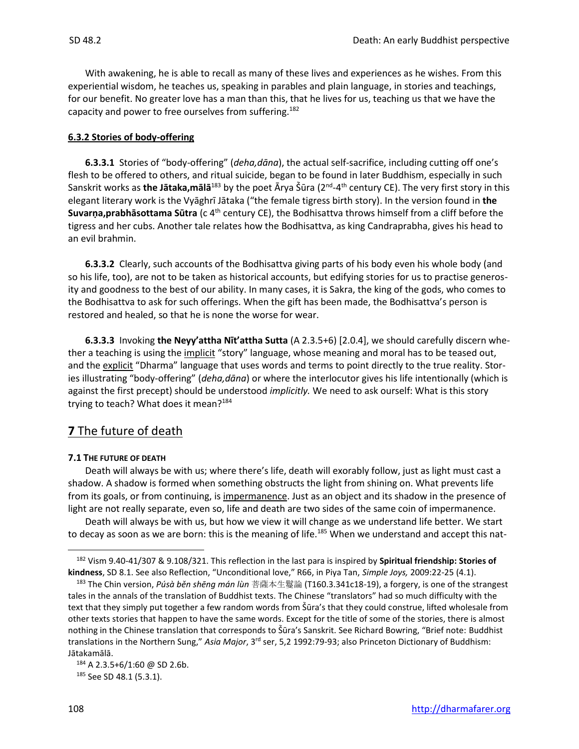With awakening, he is able to recall as many of these lives and experiences as he wishes. From this experiential wisdom, he teaches us, speaking in parables and plain language, in stories and teachings, for our benefit. No greater love has a man than this, that he lives for us, teaching us that we have the capacity and power to free ourselves from suffering.<sup>182</sup>

#### **6.3.2 Stories of body-offering**

**6.3.3.1** Stories of "body-offering" (*deha,dāna*), the actual self-sacrifice, including cutting off one's flesh to be offered to others, and ritual suicide, began to be found in later Buddhism, especially in such Sanskrit works as **the Jātaka,mālā**<sup>183</sup> by the poet Ārya Šūra (2<sup>nd</sup>-4<sup>th</sup> century CE). The very first story in this elegant literary work is the Vyāghrī Jātaka ("the female tigress birth story). In the version found in **the Suvarṇa,prabhāsottama Sūtra** (c 4<sup>th</sup> century CE), the Bodhisattva throws himself from a cliff before the tigress and her cubs. Another tale relates how the Bodhisattva, as king Candraprabha, gives his head to an evil brahmin.

**6.3.3.2** Clearly, such accounts of the Bodhisattva giving parts of his body even his whole body (and so his life, too), are not to be taken as historical accounts, but edifying stories for us to practise generosity and goodness to the best of our ability. In many cases, it is Sakra, the king of the gods, who comes to the Bodhisattva to ask for such offerings. When the gift has been made, the Bodhisattva's person is restored and healed, so that he is none the worse for wear.

**6.3.3.3** Invoking **the Neyy'attha Nīt'attha Sutta** (A 2.3.5+6) [2.0.4], we should carefully discern whether a teaching is using the implicit "story" language, whose meaning and moral has to be teased out, and the explicit "Dharma" language that uses words and terms to point directly to the true reality. Stories illustrating "body-offering" (*deha,dāna*) or where the interlocutor gives his life intentionally (which is against the first precept) should be understood *implicitly.* We need to ask ourself: What is this story trying to teach? What does it mean? $184$ 

# **7** The future of death

#### **7.1 THE FUTURE OF DEATH**

Death will always be with us; where there's life, death will exorably follow, just as light must cast a shadow. A shadow is formed when something obstructs the light from shining on. What prevents life from its goals, or from continuing, is impermanence. Just as an object and its shadow in the presence of light are not really separate, even so, life and death are two sides of the same coin of impermanence.

Death will always be with us, but how we view it will change as we understand life better. We start to decay as soon as we are born: this is the meaning of life.<sup>185</sup> When we understand and accept this nat-

<sup>182</sup> Vism 9.40-41/307 & 9.108/321. This reflection in the last para is inspired by **Spiritual friendship: Stories of kindness**, SD 8.1. See also Reflection, "Unconditional love," R66, in Piya Tan, *Simple Joys,* 2009:22-25 (4.1).

<sup>183</sup> The Chin version, *Púsà běn shēng mán lùn* 菩薩本生鬘論 (T160.3.341c18-19), a forgery, is one of the strangest tales in the annals of the translation of Buddhist texts. The Chinese "translators" had so much difficulty with the text that they simply put together a few random words from Šūra's that they could construe, lifted wholesale from other texts stories that happen to have the same words. Except for the title of some of the stories, there is almost nothing in the Chinese translation that corresponds to Šūra's Sanskrit. See Richard Bowring, "Brief note: Buddhist translations in the Northern Sung," *Asia Major*, 3<sup>rd</sup> ser, 5,2 1992:79-93; also Princeton Dictionary of Buddhism: Jātakamālā.

<sup>184</sup> A 2.3.5+6/1:60 @ SD 2.6b.

<sup>&</sup>lt;sup>185</sup> See SD 48.1 (5.3.1).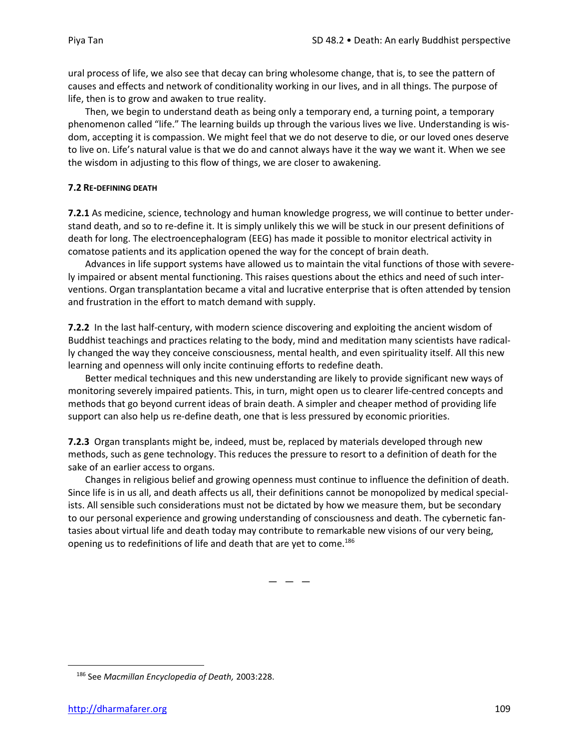ural process of life, we also see that decay can bring wholesome change, that is, to see the pattern of causes and effects and network of conditionality working in our lives, and in all things. The purpose of life, then is to grow and awaken to true reality.

Then, we begin to understand death as being only a temporary end, a turning point, a temporary phenomenon called "life." The learning builds up through the various lives we live. Understanding is wisdom, accepting it is compassion. We might feel that we do not deserve to die, or our loved ones deserve to live on. Life's natural value is that we do and cannot always have it the way we want it. When we see the wisdom in adjusting to this flow of things, we are closer to awakening.

#### **7.2 RE-DEFINING DEATH**

**7.2.1** As medicine, science, technology and human knowledge progress, we will continue to better understand death, and so to re-define it. It is simply unlikely this we will be stuck in our present definitions of death for long. The electroencephalogram (EEG) has made it possible to monitor electrical activity in comatose patients and its application opened the way for the concept of brain death.

Advances in life support systems have allowed us to maintain the vital functions of those with severely impaired or absent mental functioning. This raises questions about the ethics and need of such interventions. Organ transplantation became a vital and lucrative enterprise that is often attended by tension and frustration in the effort to match demand with supply.

**7.2.2** In the last half-century, with modern science discovering and exploiting the ancient wisdom of Buddhist teachings and practices relating to the body, mind and meditation many scientists have radically changed the way they conceive consciousness, mental health, and even spirituality itself. All this new learning and openness will only incite continuing efforts to redefine death.

Better medical techniques and this new understanding are likely to provide significant new ways of monitoring severely impaired patients. This, in turn, might open us to clearer life-centred concepts and methods that go beyond current ideas of brain death. A simpler and cheaper method of providing life support can also help us re-define death, one that is less pressured by economic priorities.

**7.2.3** Organ transplants might be, indeed, must be, replaced by materials developed through new methods, such as gene technology. This reduces the pressure to resort to a definition of death for the sake of an earlier access to organs.

Changes in religious belief and growing openness must continue to influence the definition of death. Since life is in us all, and death affects us all, their definitions cannot be monopolized by medical specialists. All sensible such considerations must not be dictated by how we measure them, but be secondary to our personal experience and growing understanding of consciousness and death. The cybernetic fantasies about virtual life and death today may contribute to remarkable new visions of our very being, opening us to redefinitions of life and death that are yet to come.<sup>186</sup>

 $-$ 

<sup>186</sup> See *Macmillan Encyclopedia of Death,* 2003:228.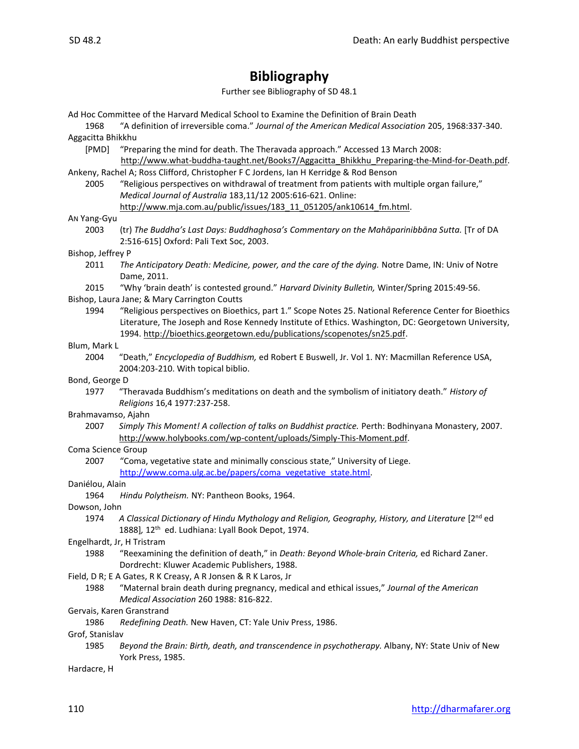# **Bibliography**

Further see Bibliography of SD 48.1

Ad Hoc Committee of the Harvard Medical School to Examine the Definition of Brain Death

- 1968 "A definition of irreversible coma." *Journal of the American Medical Association* 205, 1968:337-340. Aggacitta Bhikkhu
	- [PMD] "Preparing the mind for death. The Theravada approach." Accessed 13 March 2008: http://www.what-buddha-taught.net/Books7/Aggacitta Bhikkhu Preparing-the-Mind-for-Death.pdf.

Ankeny, Rachel A; Ross Clifford, Christopher F C Jordens, Ian H Kerridge & Rod Benson

2005 "Religious perspectives on withdrawal of treatment from patients with multiple organ failure," *Medical Journal of Australia* 183,11/12 2005:616-621. Online: http://www.mja.com.au/public/issues/183\_11\_051205/ank10614\_fm.html.

#### AN Yang-Gyu

2003 (tr) *The Buddha's Last Days: Buddhaghosa's Commentary on the Mahāparinibbāna Sutta.* [Tr of DA 2:516-615] Oxford: Pali Text Soc, 2003.

#### Bishop, Jeffrey P

- 2011 *The Anticipatory Death: Medicine, power, and the care of the dying.* Notre Dame, IN: Univ of Notre Dame, 2011.
- 2015 "Why 'brain death' is contested ground." *Harvard Divinity Bulletin,* Winter/Spring 2015:49-56.

Bishop, Laura Jane; & Mary Carrington Coutts

1994 "Religious perspectives on Bioethics, part 1." Scope Notes 25. National Reference Center for Bioethics Literature, The Joseph and Rose Kennedy Institute of Ethics. Washington, DC: Georgetown University, 1994. [http://bioethics.georgetown.edu/publications/scopenotes/sn25.pdf.](http://bioethics.georgetown.edu/publications/scopenotes/sn25.pdf)

#### Blum, Mark L

2004 "Death," *Encyclopedia of Buddhism,* ed Robert E Buswell, Jr. Vol 1. NY: Macmillan Reference USA, 2004:203-210. With topical biblio.

#### Bond, George D

1977 "Theravada Buddhism's meditations on death and the symbolism of initiatory death." *History of Religions* 16,4 1977:237-258.

#### Brahmavamso, Ajahn

2007 *Simply This Moment! A collection of talks on Buddhist practice.* Perth: Bodhinyana Monastery, 2007. [http://www.holybooks.com/wp-content/uploads/Simply-This-Moment.pdf.](http://www.holybooks.com/wp-content/uploads/Simply-This-Moment.pdf)

#### Coma Science Group

2007 "Coma, vegetative state and minimally conscious state," University of Liege. [http://www.coma.ulg.ac.be/papers/coma\\_vegetative\\_state.html.](http://www.coma.ulg.ac.be/papers/coma_vegetative_state.html)

#### Daniélou, Alain

1964 *Hindu Polytheism.* NY: Pantheon Books, 1964.

#### Dowson, John

- 1974 *A Classical Dictionary of Hindu Mythology and Religion, Geography, History, and Literature* [2nd ed 1888], 12<sup>th</sup> ed. Ludhiana: Lyall Book Depot, 1974.
- Engelhardt, Jr, H Tristram
	- 1988 "Reexamining the definition of death," in *Death: Beyond Whole-brain Criteria,* ed Richard Zaner. Dordrecht: Kluwer Academic Publishers, 1988.

#### Field, D R; E A Gates, R K Creasy, A R Jonsen & R K Laros, Jr

1988 "Maternal brain death during pregnancy, medical and ethical issues," *Journal of the American Medical Association* 260 1988: 816-822.

#### Gervais, Karen Granstrand

1986 *Redefining Death.* New Haven, CT: Yale Univ Press, 1986.

Grof, Stanislav

1985 *Beyond the Brain: Birth, death, and transcendence in psychotherapy.* Albany, NY: State Univ of New York Press, 1985.

Hardacre, H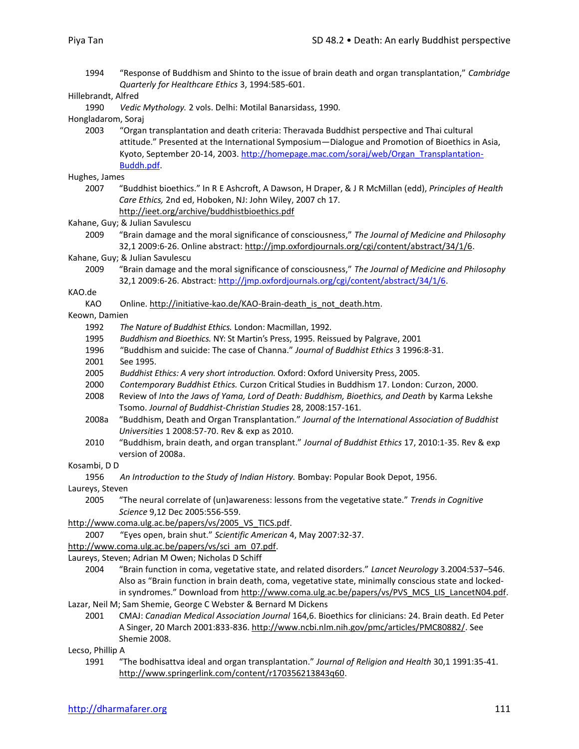1994 "Response of Buddhism and Shinto to the issue of brain death and organ transplantation," *Cambridge Quarterly for Healthcare Ethics* 3, 1994:585-601.

1990 *Vedic Mythology.* 2 vols. Delhi: Motilal Banarsidass, 1990.

Hongladarom, Soraj

2003 "Organ transplantation and death criteria: Theravada Buddhist perspective and Thai cultural attitude." Presented at the International Symposium—Dialogue and Promotion of Bioethics in Asia, Kyoto, September 20-14, 2003. http://homepage.mac.com/soraj/web/Organ\_Transplantation-Buddh.pdf.

Hughes, James

- 2007 "Buddhist bioethics." In R E Ashcroft, A Dawson, H Draper, & J R McMillan (edd), *Principles of Health Care Ethics,* 2nd ed, Hoboken, NJ: John Wiley, 2007 ch 17. http://ieet.org/archive/buddhistbioethics.pdf
- Kahane, Guy; & Julian Savulescu

2009 "Brain damage and the moral significance of consciousness," *The Journal of Medicine and Philosophy*  32,1 2009:6-26. Online abstract: http://jmp.oxfordjournals.org/cgi/content/abstract/34/1/6.

Kahane, Guy; & Julian Savulescu

2009 "Brain damage and the moral significance of consciousness," *The Journal of Medicine and Philosophy*  32,1 2009:6-26. Abstract: http://jmp.oxfordjournals.org/cgi/content/abstract/34/1/6.

KAO.de

- KAO Online. http://initiative-kao.de/KAO-Brain-death is not death.htm.
- Keown, Damien
	- 1992 *The Nature of Buddhist Ethics.* London: Macmillan, 1992.
	- 1995 *Buddhism and Bioethics.* NY: St Martin's Press, 1995. Reissued by Palgrave, 2001
	- 1996 "Buddhism and suicide: The case of Channa." *Journal of Buddhist Ethics* 3 1996:8-31.
	- 2001 See 1995.
	- 2005 *Buddhist Ethics: A very short introduction.* Oxford: Oxford University Press, 2005.
	- 2000 *Contemporary Buddhist Ethics.* Curzon Critical Studies in Buddhism 17. London: Curzon, 2000.
	- 2008 Review of *Into the Jaws of Yama, Lord of Death: Buddhism, Bioethics, and Death* by Karma Lekshe Tsomo. *Journal of Buddhist-Christian Studies* 28, 2008:157-161.
	- 2008a "Buddhism, Death and Organ Transplantation." *Journal of the International Association of Buddhist Universities* 1 2008:57-70. Rev & exp as 2010.
	- 2010 "Buddhism, brain death, and organ transplant." *Journal of Buddhist Ethics* 17, 2010:1-35. Rev & exp version of 2008a.

Kosambi, D D

1956 *An Introduction to the Study of Indian History.* Bombay: Popular Book Depot, 1956.

Laureys, Steven

2005 "The neural correlate of (un)awareness: lessons from the vegetative state." *Trends in Cognitive Science* 9,12 Dec 2005:556-559.

http://www.coma.ulg.ac.be/papers/vs/2005\_VS\_TICS.pdf.

2007 "Eyes open, brain shut." *Scientific American* 4, May 2007:32-37.

http://www.coma.ulg.ac.be/papers/vs/sci\_am\_07.pdf.

Laureys, Steven; Adrian M Owen; Nicholas D Schiff

2004 "Brain function in coma, vegetative state, and related disorders." *Lancet Neurology* 3.2004:537–546. Also as "Brain function in brain death, coma, vegetative state, minimally conscious state and lockedin syndromes." Download from http://www.coma.ulg.ac.be/papers/vs/PVS\_MCS\_LIS\_LancetN04.pdf.

Lazar, Neil M; Sam Shemie, George C Webster & Bernard M Dickens

2001 CMAJ: *Canadian Medical Association Journal* 164,6. Bioethics for clinicians: 24. Brain death. Ed Peter A Singer, 20 March 2001:833-836. http://www.ncbi.nlm.nih.gov/pmc/articles/PMC80882/. See Shemie 2008.

Lecso, Phillip A

1991 "The bodhisattva ideal and organ transplantation." *Journal of Religion and Health* 30,1 1991:35-41. http://www.springerlink.com/content/r170356213843q60.

Hillebrandt, Alfred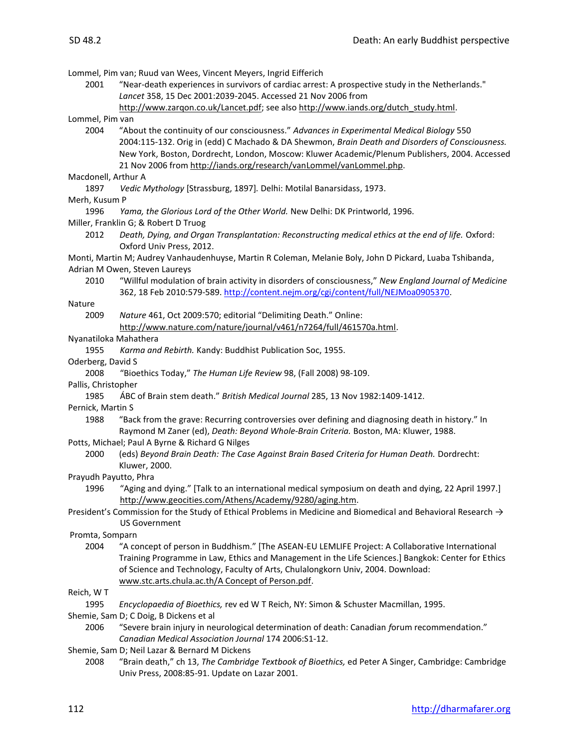Lommel, Pim van; Ruud van Wees, Vincent Meyers, Ingrid Eifferich

- 2001 "Near-death experiences in survivors of cardiac arrest: A prospective study in the Netherlands." *Lancet* 358, 15 Dec 2001:2039-2045. Accessed 21 Nov 2006 from http://www.zarqon.co.uk/Lancet.pdf; see also http://www.iands.org/dutch\_study.html.
- Lommel, Pim van
	- 2004 "About the continuity of our consciousness." *Advances in Experimental Medical Biology* 550 2004:115-132. Orig in (edd) C Machado & DA Shewmon, *Brain Death and Disorders of Consciousness.* New York, Boston, Dordrecht, London, Moscow: Kluwer Academic/Plenum Publishers, 2004. Accessed 21 Nov 2006 from http://iands.org/research/vanLommel/vanLommel.php.

#### Macdonell, Arthur A

1897 *Vedic Mythology* [Strassburg, 1897]*.* Delhi: Motilal Banarsidass, 1973.

#### Merh, Kusum P

- 1996 *Yama, the Glorious Lord of the Other World.* New Delhi: DK Printworld, 1996.
- Miller, Franklin G; & Robert D Truog
	- 2012 *Death, Dying, and Organ Transplantation: Reconstructing medical ethics at the end of life.* Oxford: Oxford Univ Press, 2012.

Monti, Martin M; Audrey Vanhaudenhuyse, Martin R Coleman, Melanie Boly, John D Pickard, Luaba Tshibanda, Adrian M Owen, Steven Laureys

2010 "Willful modulation of brain activity in disorders of consciousness," *New England Journal of Medicine* 362, 18 Feb 2010:579-589. http://content.nejm.org/cgi/content/full/NEJMoa0905370.

#### Nature

2009 *Nature* 461, Oct 2009:570; editorial "Delimiting Death." Online: http://www.nature.com/nature/journal/v461/n7264/full/461570a.html.

#### Nyanatiloka Mahathera

1955 *Karma and Rebirth.* Kandy: Buddhist Publication Soc, 1955.

#### Oderberg, David S

- 2008 "Bioethics Today," *The Human Life Review* 98, (Fall 2008) 98-109.
- Pallis, Christopher
	- 1985 ÁBC of Brain stem death." *British Medical Journal* 285, 13 Nov 1982:1409-1412.

#### Pernick, Martin S

1988 "Back from the grave: Recurring controversies over defining and diagnosing death in history." In Raymond M Zaner (ed), *Death: Beyond Whole-Brain Criteria.* Boston, MA: Kluwer, 1988.

#### Potts, Michael; Paul A Byrne & Richard G Nilges

2000 (eds) *Beyond Brain Death: The Case Against Brain Based Criteria for Human Death.* Dordrecht: Kluwer, 2000.

#### Prayudh Payutto, Phra

- 1996 "Aging and dying." [Talk to an international medical symposium on death and dying, 22 April 1997.] http://www.geocities.com/Athens/Academy/9280/aging.htm.
- President's Commission for the Study of Ethical Problems in Medicine and Biomedical and Behavioral Research → US Government

#### Promta, Somparn

2004 "A concept of person in Buddhism." [The ASEAN-EU LEMLIFE Project: A Collaborative International Training Programme in Law, Ethics and Management in the Life Sciences.] Bangkok: Center for Ethics of Science and Technology, Faculty of Arts, Chulalongkorn Univ, 2004. Download: www.stc.arts.chula.ac.th/A Concept of Person.pdf.

#### Reich, W T

1995 *Encyclopaedia of Bioethics,* rev ed W T Reich, NY: Simon & Schuster Macmillan, 1995.

Shemie, Sam D; C Doig, B Dickens et al

- 2006 "Severe brain injury in neurological determination of death: Canadian *f*orum recommendation." *Canadian Medical Association Journal* 174 2006:S1-12.
- Shemie, Sam D; Neil Lazar & Bernard M Dickens
	- 2008 "Brain death," ch 13, *The Cambridge Textbook of Bioethics,* ed Peter A Singer, Cambridge: Cambridge Univ Press, 2008:85-91. Update on Lazar 2001.